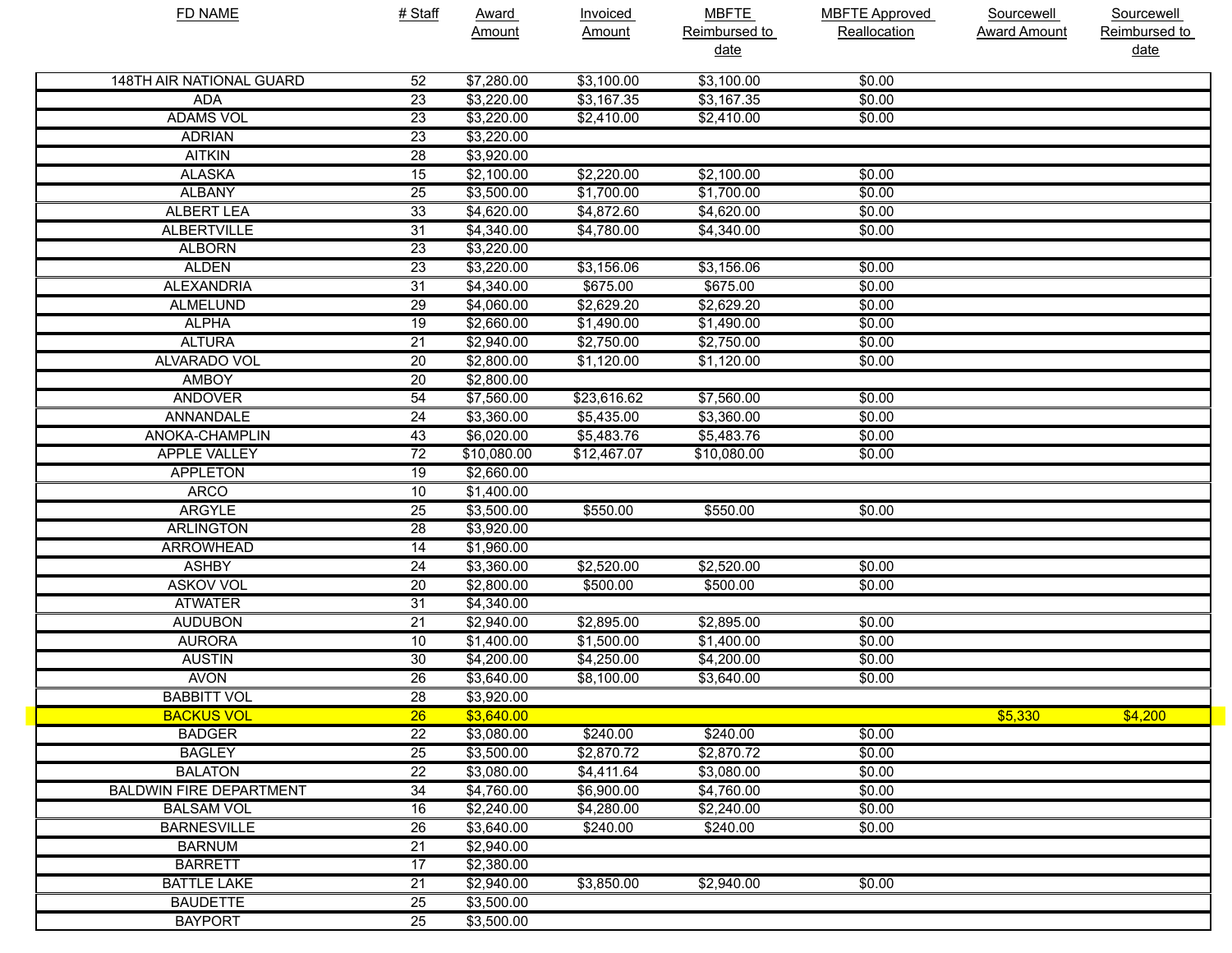| <b>FD NAME</b>                 | # Staff         | <b>Award</b><br>Amount | <b>Invoiced</b><br>Amount | <b>MBFTE</b><br>Reimbursed to<br>date | <b>MBFTE Approved</b><br>Reallocation | Sourcewell<br><b>Award Amount</b> | <b>Sourcewell</b><br>Reimbursed to<br><u>date</u> |
|--------------------------------|-----------------|------------------------|---------------------------|---------------------------------------|---------------------------------------|-----------------------------------|---------------------------------------------------|
|                                |                 |                        |                           |                                       |                                       |                                   |                                                   |
| 148TH AIR NATIONAL GUARD       | 52              | \$7,280.00             | \$3,100.00                | \$3,100.00                            | \$0.00                                |                                   |                                                   |
| ADA                            | 23              | \$3,220.00             | \$3,167.35                | \$3,167.35                            | \$0.00                                |                                   |                                                   |
| <b>ADAMS VOL</b>               | 23              | \$3,220.00             | \$2,410.00                | \$2,410.00                            | \$0.00                                |                                   |                                                   |
| <b>ADRIAN</b>                  | $\overline{23}$ | \$3,220.00             |                           |                                       |                                       |                                   |                                                   |
| <b>AITKIN</b>                  | 28              | \$3,920.00             |                           |                                       |                                       |                                   |                                                   |
| <b>ALASKA</b>                  | 15              | \$2,100.00             | \$2,220.00                | \$2,100.00                            | \$0.00                                |                                   |                                                   |
| <b>ALBANY</b>                  | 25              | \$3,500.00             | \$1,700.00                | \$1,700.00                            | \$0.00                                |                                   |                                                   |
| <b>ALBERT LEA</b>              | $\overline{33}$ | \$4,620.00             | \$4,872.60                | \$4,620.00                            | \$0.00                                |                                   |                                                   |
| <b>ALBERTVILLE</b>             | 31              | \$4,340.00             | \$4,780.00                | \$4,340.00                            | \$0.00                                |                                   |                                                   |
| <b>ALBORN</b>                  | 23              | \$3,220.00             |                           |                                       |                                       |                                   |                                                   |
| <b>ALDEN</b>                   | $\overline{23}$ | \$3,220.00             | \$3,156.06                | \$3,156.06                            | \$0.00                                |                                   |                                                   |
| <b>ALEXANDRIA</b>              | 31              | \$4,340.00             | \$675.00                  | \$675.00                              | \$0.00                                |                                   |                                                   |
| <b>ALMELUND</b>                | 29              | \$4,060.00             | \$2,629.20                | \$2,629.20                            | \$0.00                                |                                   |                                                   |
| <b>ALPHA</b>                   | 19              | \$2,660.00             | \$1,490.00                | \$1,490.00                            | \$0.00                                |                                   |                                                   |
| <b>ALTURA</b>                  | 21              | \$2,940.00             | \$2,750.00                | \$2,750.00                            | \$0.00                                |                                   |                                                   |
| <b>ALVARADO VOL</b>            | 20              | \$2,800.00             | \$1,120.00                | \$1,120.00                            | \$0.00                                |                                   |                                                   |
| <b>AMBOY</b>                   | 20              | \$2,800.00             |                           |                                       |                                       |                                   |                                                   |
| <b>ANDOVER</b>                 | 54              | \$7,560.00             | \$23,616.62               | \$7,560.00                            | \$0.00                                |                                   |                                                   |
| <b>ANNANDALE</b>               | 24              | \$3,360.00             | \$5,435.00                | \$3,360.00                            | \$0.00                                |                                   |                                                   |
| ANOKA-CHAMPLIN                 | 43              | \$6,020.00             | \$5,483.76                | \$5,483.76                            | \$0.00                                |                                   |                                                   |
| <b>APPLE VALLEY</b>            | $\overline{72}$ | \$10,080.00            | \$12,467.07               | \$10,080.00                           | \$0.00                                |                                   |                                                   |
| APPLETON                       | 19              | \$2,660.00             |                           |                                       |                                       |                                   |                                                   |
| <b>ARCO</b>                    | 10              | \$1,400.00             |                           |                                       |                                       |                                   |                                                   |
| <b>ARGYLE</b>                  | 25              | \$3,500.00             | \$550.00                  | \$550.00                              | \$0.00                                |                                   |                                                   |
| <b>ARLINGTON</b>               | 28              | \$3,920.00             |                           |                                       |                                       |                                   |                                                   |
| <b>ARROWHEAD</b>               | 14              | \$1,960.00             |                           |                                       |                                       |                                   |                                                   |
| <b>ASHBY</b>                   | 24              | \$3,360.00             | \$2,520.00                | \$2,520.00                            | \$0.00                                |                                   |                                                   |
| <b>ASKOV VOL</b>               | 20              | \$2,800.00             | \$500.00                  | \$500.00                              | \$0.00                                |                                   |                                                   |
| <b>ATWATER</b>                 | 31              | \$4,340.00             |                           |                                       |                                       |                                   |                                                   |
| <b>AUDUBON</b>                 | 21              | \$2,940.00             | \$2,895.00                | \$2,895.00                            | \$0.00                                |                                   |                                                   |
| <b>AURORA</b>                  | 10              | \$1,400.00             | \$1,500.00                | \$1,400.00                            | \$0.00                                |                                   |                                                   |
| <b>AUSTIN</b>                  | 30              | \$4,200.00             | \$4,250.00                | \$4,200.00                            | \$0.00                                |                                   |                                                   |
| <b>AVON</b>                    | $\overline{26}$ | \$3,640.00             | \$8,100.00                | \$3,640.00                            | \$0.00                                |                                   |                                                   |
| <b>BABBITT VOL</b>             | $\overline{28}$ | \$3,920.00             |                           |                                       |                                       |                                   |                                                   |
| <b>BACKUS VOL</b>              | 26              | \$3,640.00             |                           |                                       |                                       | \$5,330                           | \$4,200                                           |
| <b>BADGER</b>                  | $\overline{22}$ | \$3,080.00             | \$240.00                  | \$240.00                              | \$0.00                                |                                   |                                                   |
| <b>BAGLEY</b>                  | $\overline{25}$ | \$3,500.00             | \$2,870.72                | \$2,870.72                            | \$0.00                                |                                   |                                                   |
| <b>BALATON</b>                 | $\overline{22}$ | \$3,080.00             | \$4,411.64                | \$3,080.00                            | \$0.00                                |                                   |                                                   |
| <b>BALDWIN FIRE DEPARTMENT</b> | $\overline{34}$ | \$4,760.00             | \$6,900.00                | \$4,760.00                            | \$0.00                                |                                   |                                                   |
| <b>BALSAM VOL</b>              | 16              | \$2,240.00             | \$4,280.00                | \$2,240.00                            | \$0.00                                |                                   |                                                   |
| <b>BARNESVILLE</b>             | 26              | \$3,640.00             | \$240.00                  | \$240.00                              | \$0.00                                |                                   |                                                   |
| <b>BARNUM</b>                  | $\overline{21}$ | \$2,940.00             |                           |                                       |                                       |                                   |                                                   |
| <b>BARRETT</b>                 | 17              | \$2,380.00             |                           |                                       |                                       |                                   |                                                   |
| <b>BATTLE LAKE</b>             | 21              | \$2,940.00             | \$3,850.00                | \$2,940.00                            | \$0.00                                |                                   |                                                   |
| <b>BAUDETTE</b>                | 25              | \$3,500.00             |                           |                                       |                                       |                                   |                                                   |
| <b>BAYPORT</b>                 | $\overline{25}$ | \$3,500.00             |                           |                                       |                                       |                                   |                                                   |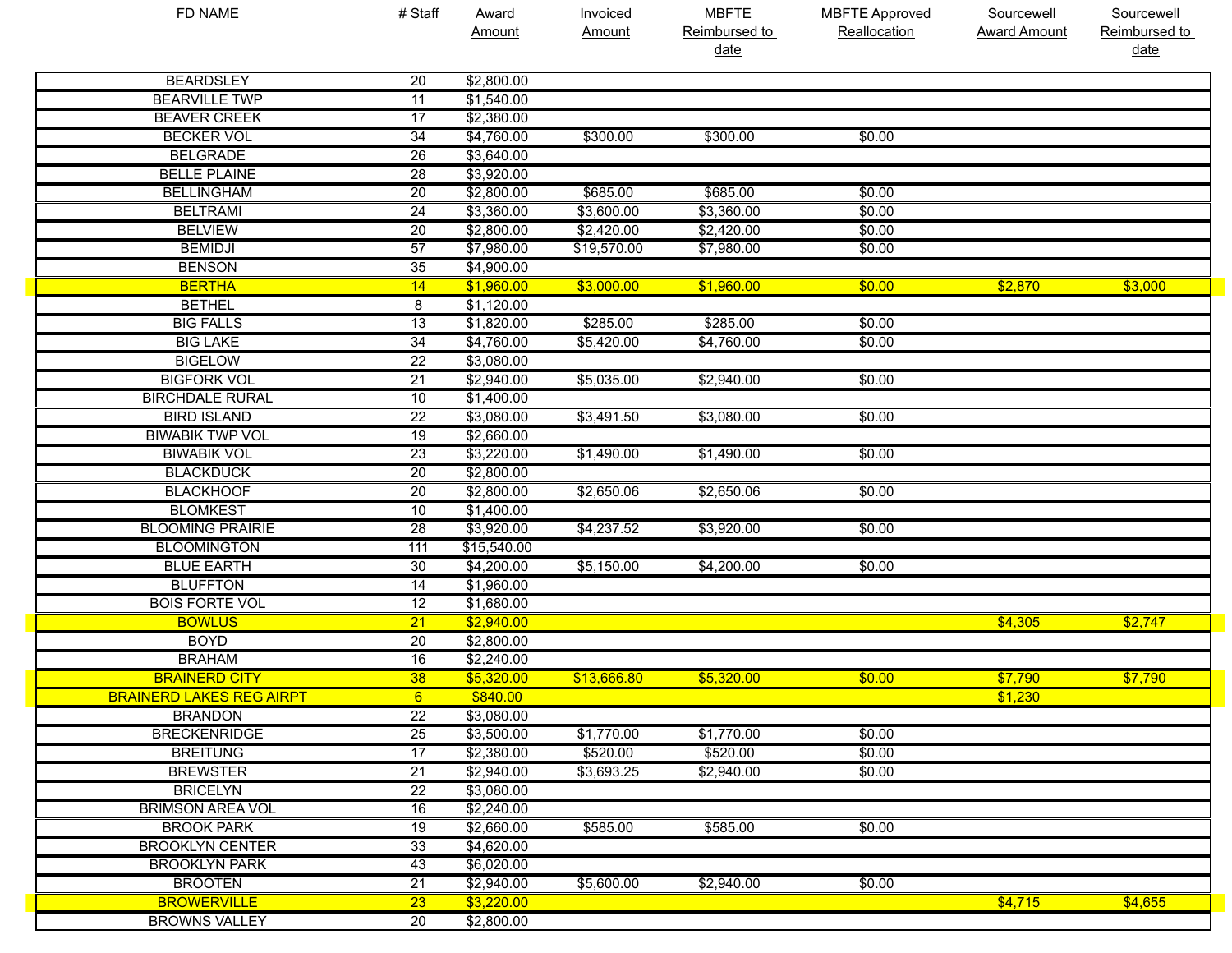| FD NAME                         | # Staff         | <b>Award</b>       | Invoiced    | <b>MBFTE</b>  | <b>MBFTE Approved</b> | Sourcewell          | Sourcewell    |
|---------------------------------|-----------------|--------------------|-------------|---------------|-----------------------|---------------------|---------------|
|                                 |                 | Amount             | Amount      | Reimbursed to | Reallocation          | <b>Award Amount</b> | Reimbursed to |
|                                 |                 |                    |             | <u>date</u>   |                       |                     | date          |
| <b>BEARDSLEY</b>                | 20              | \$2,800.00         |             |               |                       |                     |               |
| <b>BEARVILLE TWP</b>            | 11              | \$1,540.00         |             |               |                       |                     |               |
| <b>BEAVER CREEK</b>             | 17              | \$2,380.00         |             |               |                       |                     |               |
| <b>BECKER VOL</b>               | $\overline{34}$ | \$4,760.00         | \$300.00    | \$300.00      | \$0.00                |                     |               |
| <b>BELGRADE</b>                 | $\overline{26}$ | \$3,640.00         |             |               |                       |                     |               |
| <b>BELLE PLAINE</b>             | $\overline{28}$ | \$3,920.00         |             |               |                       |                     |               |
| <b>BELLINGHAM</b>               | $\overline{20}$ | \$2,800.00         | \$685.00    | \$685.00      | \$0.00                |                     |               |
| <b>BELTRAMI</b>                 | $\overline{24}$ | \$3,360.00         | \$3,600.00  | \$3,360.00    | \$0.00                |                     |               |
| <b>BELVIEW</b>                  | $\overline{20}$ | \$2,800.00         | \$2,420.00  | \$2,420.00    | \$0.00                |                     |               |
| <b>BEMIDJI</b>                  | 57              | \$7,980.00         | \$19,570.00 | \$7,980.00    | \$0.00                |                     |               |
| <b>BENSON</b>                   | 35              | \$4,900.00         |             |               |                       |                     |               |
| <b>BERTHA</b>                   | 14              | \$1,960.00         | \$3,000.00  | \$1,960.00    | \$0.00                | \$2,870             | \$3,000       |
| <b>BETHEL</b>                   | 8               | \$1,120.00         |             |               |                       |                     |               |
| <b>BIG FALLS</b>                | $\overline{13}$ | \$1,820.00         | \$285.00    | \$285.00      | \$0.00                |                     |               |
| <b>BIG LAKE</b>                 | $\overline{34}$ | \$4,760.00         | \$5,420.00  | \$4,760.00    | \$0.00                |                     |               |
| <b>BIGELOW</b>                  | $\overline{22}$ | \$3,080.00         |             |               |                       |                     |               |
| <b>BIGFORK VOL</b>              | $\overline{21}$ | \$2,940.00         | \$5,035.00  | \$2,940.00    | \$0.00                |                     |               |
| <b>BIRCHDALE RURAL</b>          | 10              | \$1,400.00         |             |               |                       |                     |               |
| <b>BIRD ISLAND</b>              | $\overline{22}$ | \$3,080.00         | \$3,491.50  | \$3,080.00    | \$0.00                |                     |               |
| <b>BIWABIK TWP VOL</b>          | $\overline{19}$ | \$2,660.00         |             |               |                       |                     |               |
| <b>BIWABIK VOL</b>              | $\overline{23}$ | \$3,220.00         | \$1,490.00  | \$1,490.00    | \$0.00                |                     |               |
| <b>BLACKDUCK</b>                | $\overline{20}$ | \$2,800.00         |             |               |                       |                     |               |
| <b>BLACKHOOF</b>                | $\overline{20}$ | \$2,800.00         | \$2,650.06  | \$2,650.06    | \$0.00                |                     |               |
| <b>BLOMKEST</b>                 | 10              | \$1,400.00         |             |               |                       |                     |               |
| <b>BLOOMING PRAIRIE</b>         | $\overline{28}$ | \$3,920.00         | \$4,237.52  | \$3,920.00    | \$0.00                |                     |               |
| <b>BLOOMINGTON</b>              | 111             | \$15,540.00        |             |               |                       |                     |               |
| <b>BLUE EARTH</b>               | $\overline{30}$ | \$4,200.00         | \$5,150.00  | \$4,200.00    | \$0.00                |                     |               |
| <b>BLUFFTON</b>                 | $\overline{14}$ | \$1,960.00         |             |               |                       |                     |               |
| <b>BOIS FORTE VOL</b>           | $\overline{12}$ | \$1,680.00         |             |               |                       |                     |               |
| <b>BOWLUS</b>                   | $\overline{21}$ | \$2,940.00         |             |               |                       | \$4,305             | \$2,747       |
| <b>BOYD</b>                     | $\overline{20}$ | \$2,800.00         |             |               |                       |                     |               |
| <b>BRAHAM</b>                   | 16              | \$2,240.00         |             |               |                       |                     |               |
| <b>BRAINERD CITY</b>            | 38              | \$5,320.00         | \$13.666.80 | \$5,320.00    | \$0.00                | \$7,790             | \$7,790       |
| <b>BRAINERD LAKES REG AIRPT</b> | 6               | \$840.00           |             |               |                       | \$1,230             |               |
| <b>BRANDON</b>                  | $\overline{22}$ | \$3,080.00         |             |               |                       |                     |               |
| <b>BRECKENRIDGE</b>             | $\overline{25}$ | \$3,500.00         | \$1,770.00  | \$1,770.00    | \$0.00                |                     |               |
| <b>BREITUNG</b>                 | 17              | \$2,380.00         | \$520.00    | \$520.00      | \$0.00                |                     |               |
| <b>BREWSTER</b>                 | $\overline{21}$ | \$2,940.00         | \$3,693.25  | \$2,940.00    | \$0.00                |                     |               |
| <b>BRICELYN</b>                 | $\overline{22}$ | \$3,080.00         |             |               |                       |                     |               |
| <b>BRIMSON AREA VOL</b>         | 16              | $\sqrt{$2,240.00}$ |             |               |                       |                     |               |
| <b>BROOK PARK</b>               | 19              | \$2,660.00         | \$585.00    | \$585.00      | \$0.00                |                     |               |
| <b>BROOKLYN CENTER</b>          | 33              | \$4,620.00         |             |               |                       |                     |               |
| <b>BROOKLYN PARK</b>            | 43              | \$6,020.00         |             |               |                       |                     |               |
| <b>BROOTEN</b>                  | $\overline{21}$ | \$2,940.00         | \$5,600.00  | \$2,940.00    | \$0.00                |                     |               |
| <b>BROWERVILLE</b>              | $\overline{23}$ | \$3,220.00         |             |               |                       | \$4,715             | \$4,655       |
| <b>BROWNS VALLEY</b>            | 20              | \$2,800.00         |             |               |                       |                     |               |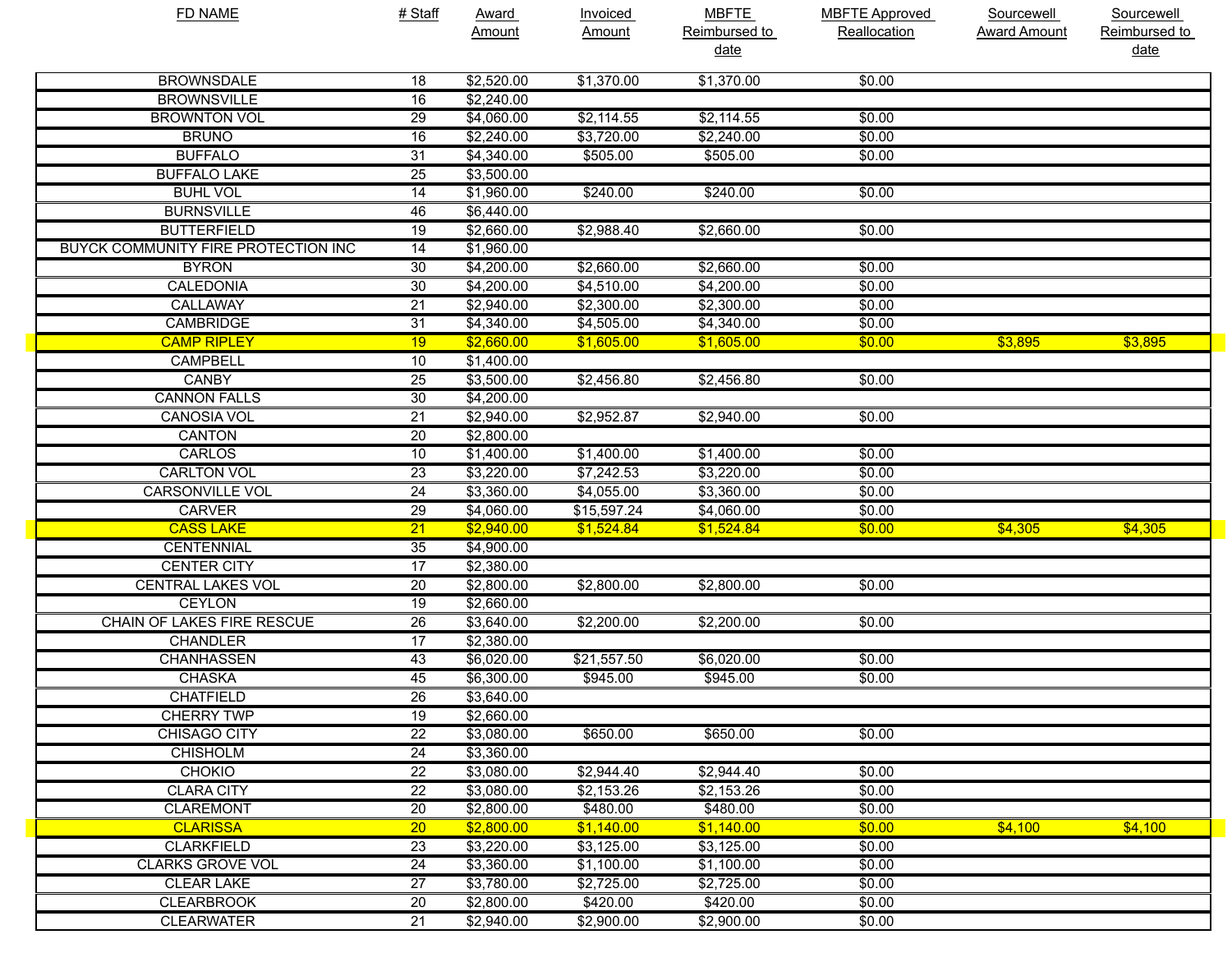| <b>FD NAME</b>                      | # Staff         | <b>Award</b> | <b>Invoiced</b> | <b>MBFTE</b>  | <b>MBFTE Approved</b> | <b>Sourcewell</b>   | <b>Sourcewell</b> |
|-------------------------------------|-----------------|--------------|-----------------|---------------|-----------------------|---------------------|-------------------|
|                                     |                 | Amount       | Amount          | Reimbursed to | Reallocation          | <b>Award Amount</b> | Reimbursed to     |
|                                     |                 |              |                 | <u>date</u>   |                       |                     | date              |
| <b>BROWNSDALE</b>                   | 18              | \$2,520.00   | \$1,370.00      | \$1,370.00    | \$0.00                |                     |                   |
| <b>BROWNSVILLE</b>                  | 16              | \$2,240.00   |                 |               |                       |                     |                   |
| <b>BROWNTON VOL</b>                 | 29              | \$4,060.00   | \$2,114.55      | \$2,114.55    | \$0.00                |                     |                   |
| <b>BRUNO</b>                        | 16              | \$2,240.00   | \$3,720.00      | \$2,240.00    | \$0.00                |                     |                   |
| <b>BUFFALO</b>                      | 31              | \$4,340.00   | \$505.00        | \$505.00      | \$0.00                |                     |                   |
| <b>BUFFALO LAKE</b>                 | 25              | \$3,500.00   |                 |               |                       |                     |                   |
| <b>BUHL VOL</b>                     | 14              | \$1,960.00   | \$240.00        | \$240.00      | \$0.00                |                     |                   |
| <b>BURNSVILLE</b>                   | 46              | \$6,440.00   |                 |               |                       |                     |                   |
| <b>BUTTERFIELD</b>                  | 19              | \$2,660.00   | \$2,988.40      | \$2,660.00    | \$0.00                |                     |                   |
| BUYCK COMMUNITY FIRE PROTECTION INC | 14              | \$1,960.00   |                 |               |                       |                     |                   |
| <b>BYRON</b>                        | 30              | \$4,200.00   | \$2,660.00      | \$2,660.00    | \$0.00                |                     |                   |
| <b>CALEDONIA</b>                    | 30              | \$4,200.00   | \$4,510.00      | \$4,200.00    | \$0.00                |                     |                   |
| <b>CALLAWAY</b>                     | 21              | \$2,940.00   | \$2,300.00      | \$2,300.00    | \$0.00                |                     |                   |
| <b>CAMBRIDGE</b>                    | 31              | \$4,340.00   | \$4,505.00      | \$4,340.00    | \$0.00                |                     |                   |
| <b>CAMP RIPLEY</b>                  | 19              | \$2,660.00   | \$1,605.00      | \$1,605.00    | \$0.00                | \$3,895             | \$3,895           |
| <b>CAMPBELL</b>                     | 10              | \$1,400.00   |                 |               |                       |                     |                   |
| <b>CANBY</b>                        | 25              | \$3,500.00   | \$2,456.80      | \$2,456.80    | \$0.00                |                     |                   |
| <b>CANNON FALLS</b>                 | 30              | \$4,200.00   |                 |               |                       |                     |                   |
| <b>CANOSIA VOL</b>                  | 21              | \$2,940.00   | \$2,952.87      | \$2,940.00    | \$0.00                |                     |                   |
| <b>CANTON</b>                       | 20              | \$2,800.00   |                 |               |                       |                     |                   |
| CARLOS                              | 10              | \$1,400.00   | \$1,400.00      | \$1,400.00    | \$0.00                |                     |                   |
| <b>CARLTON VOL</b>                  | 23              | \$3,220.00   | \$7,242.53      | \$3,220.00    | \$0.00                |                     |                   |
| <b>CARSONVILLE VOL</b>              | 24              | \$3,360.00   | \$4,055.00      | \$3,360.00    | \$0.00                |                     |                   |
| <b>CARVER</b>                       | 29              | \$4,060.00   | \$15,597.24     | \$4,060.00    | \$0.00                |                     |                   |
| <b>CASS LAKE</b>                    | $\overline{21}$ | \$2,940.00   | \$1,524.84      | \$1,524.84    | \$0.00                | \$4,305             | \$4,305           |
| <b>CENTENNIAL</b>                   | 35              | \$4,900.00   |                 |               |                       |                     |                   |
| <b>CENTER CITY</b>                  | $\overline{17}$ | \$2,380.00   |                 |               |                       |                     |                   |
| <b>CENTRAL LAKES VOL</b>            | 20              | \$2,800.00   | \$2,800.00      | \$2,800.00    | \$0.00                |                     |                   |
| <b>CEYLON</b>                       | 19              | \$2,660.00   |                 |               |                       |                     |                   |
| <b>CHAIN OF LAKES FIRE RESCUE</b>   | 26              | \$3,640.00   | \$2,200.00      | \$2,200.00    | \$0.00                |                     |                   |
| <b>CHANDLER</b>                     | 17              | \$2,380.00   |                 |               |                       |                     |                   |
| <b>CHANHASSEN</b>                   | 43              | \$6,020.00   | \$21,557.50     | \$6,020.00    | \$0.00                |                     |                   |
| <b>CHASKA</b>                       | 45              | \$6,300.00   | \$945.00        | \$945.00      | \$0.00                |                     |                   |
| <b>CHATFIELD</b>                    | $\overline{26}$ | \$3,640.00   |                 |               |                       |                     |                   |
| <b>CHERRY TWP</b>                   | 19              | \$2,660.00   |                 |               |                       |                     |                   |
| <b>CHISAGO CITY</b>                 | 22              | \$3,080.00   | \$650.00        | \$650.00      | \$0.00                |                     |                   |
| <b>CHISHOLM</b>                     | 24              | \$3,360.00   |                 |               |                       |                     |                   |
| <b>CHOKIO</b>                       | 22              | \$3,080.00   | \$2,944.40      | \$2,944.40    | \$0.00                |                     |                   |
| <b>CLARA CITY</b>                   | 22              | \$3,080.00   | \$2,153.26      | \$2,153.26    | \$0.00                |                     |                   |
| <b>CLAREMONT</b>                    | 20              | \$2,800.00   | \$480.00        | \$480.00      | \$0.00                |                     |                   |
| <b>CLARISSA</b>                     | 20              | \$2,800.00   | \$1,140.00      | \$1,140.00    | \$0.00                | \$4,100             | \$4,100           |
| <b>CLARKFIELD</b>                   | 23              | \$3,220.00   | \$3,125.00      | \$3,125.00    | \$0.00                |                     |                   |
| <b>CLARKS GROVE VOL</b>             | 24              | \$3,360.00   | \$1,100.00      | \$1,100.00    | \$0.00                |                     |                   |
| <b>CLEAR LAKE</b>                   | 27              | \$3,780.00   | \$2,725.00      | \$2,725.00    | \$0.00                |                     |                   |
| <b>CLEARBROOK</b>                   | 20              | \$2,800.00   | \$420.00        | \$420.00      | \$0.00                |                     |                   |
| <b>CLEARWATER</b>                   | 21              | \$2,940.00   | \$2,900.00      | \$2,900.00    | \$0.00                |                     |                   |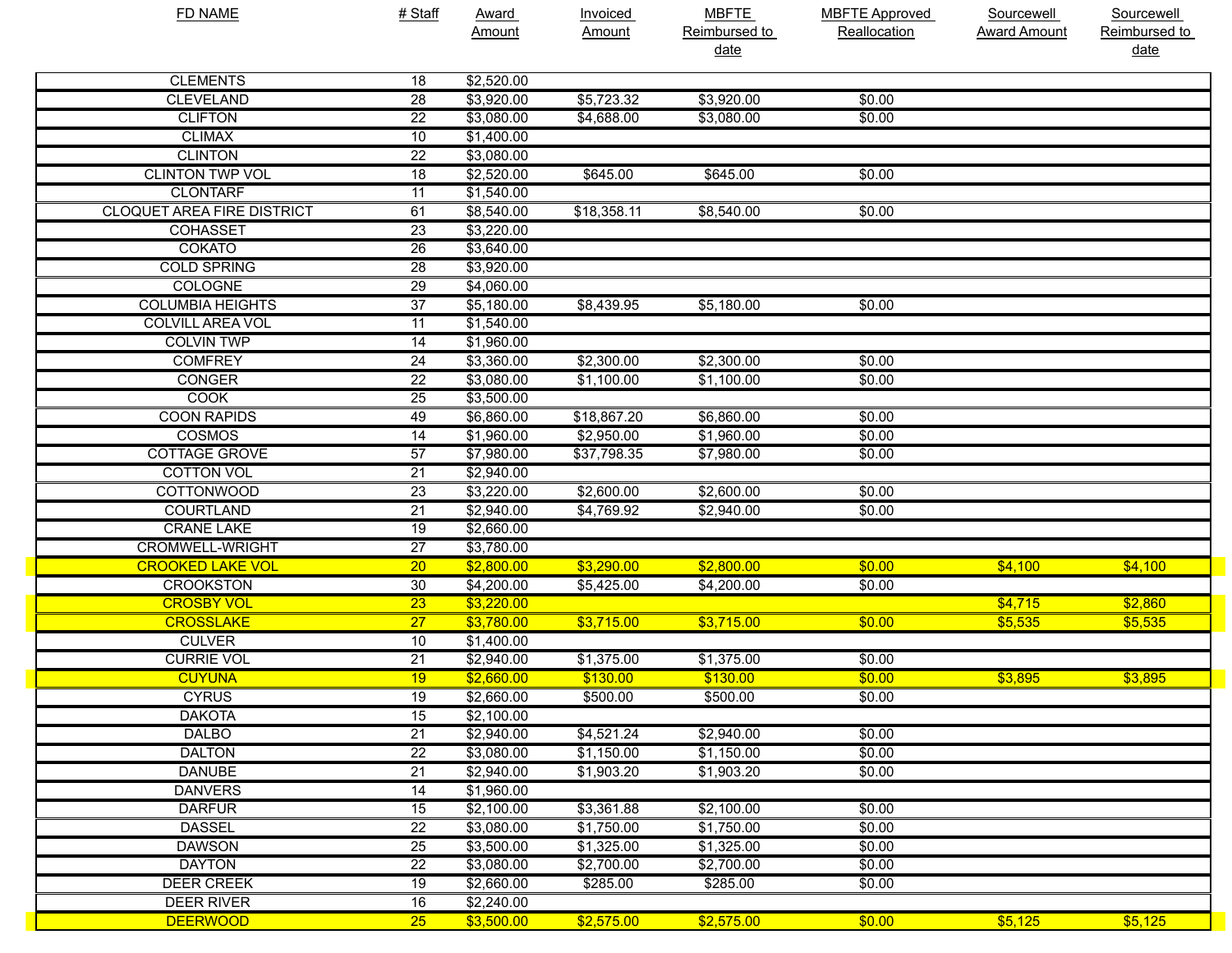| <b>FD NAME</b>                    | # Staff         | Award<br>Amount | <b>Invoiced</b><br>Amount | <b>MBFTE</b><br>Reimbursed to<br>date | <b>MBFTE Approved</b><br>Reallocation | Sourcewell<br><b>Award Amount</b> | Sourcewell<br>Reimbursed to<br>date |
|-----------------------------------|-----------------|-----------------|---------------------------|---------------------------------------|---------------------------------------|-----------------------------------|-------------------------------------|
| <b>CLEMENTS</b>                   | 18              | \$2,520.00      |                           |                                       |                                       |                                   |                                     |
| <b>CLEVELAND</b>                  | $\overline{28}$ | \$3,920.00      | \$5,723.32                | \$3,920.00                            | \$0.00                                |                                   |                                     |
| <b>CLIFTON</b>                    | $\overline{22}$ | \$3,080.00      | \$4,688.00                | \$3,080.00                            | \$0.00                                |                                   |                                     |
| <b>CLIMAX</b>                     | 10              | \$1,400.00      |                           |                                       |                                       |                                   |                                     |
| <b>CLINTON</b>                    | $\overline{22}$ | \$3,080.00      |                           |                                       |                                       |                                   |                                     |
| <b>CLINTON TWP VOL</b>            | 18              | \$2,520.00      | \$645.00                  | \$645.00                              | \$0.00                                |                                   |                                     |
| <b>CLONTARF</b>                   | 11              | \$1,540.00      |                           |                                       |                                       |                                   |                                     |
| <b>CLOQUET AREA FIRE DISTRICT</b> | 61              | \$8,540.00      | \$18,358.11               | \$8,540.00                            | \$0.00                                |                                   |                                     |
| <b>COHASSET</b>                   | $\overline{23}$ | \$3,220.00      |                           |                                       |                                       |                                   |                                     |
| <b>COKATO</b>                     | $\overline{26}$ | \$3,640.00      |                           |                                       |                                       |                                   |                                     |
| <b>COLD SPRING</b>                | $\overline{28}$ | \$3,920.00      |                           |                                       |                                       |                                   |                                     |
| <b>COLOGNE</b>                    | $\overline{29}$ | \$4,060.00      |                           |                                       |                                       |                                   |                                     |
| <b>COLUMBIA HEIGHTS</b>           | $\overline{37}$ | \$5,180.00      | \$8,439.95                | \$5,180.00                            | \$0.00                                |                                   |                                     |
| <b>COLVILL AREA VOL</b>           | 11              | \$1,540.00      |                           |                                       |                                       |                                   |                                     |
| <b>COLVIN TWP</b>                 | $\overline{14}$ | \$1,960.00      |                           |                                       |                                       |                                   |                                     |
| <b>COMFREY</b>                    | $\overline{24}$ | \$3,360.00      | \$2,300.00                | \$2,300.00                            | \$0.00                                |                                   |                                     |
| <b>CONGER</b>                     | $\overline{22}$ | \$3,080.00      | \$1,100.00                | \$1,100.00                            | \$0.00                                |                                   |                                     |
| <b>COOK</b>                       | $\overline{25}$ | \$3,500.00      |                           |                                       |                                       |                                   |                                     |
| <b>COON RAPIDS</b>                | 49              | \$6,860.00      | \$18,867.20               | \$6,860.00                            | \$0.00                                |                                   |                                     |
| <b>COSMOS</b>                     | $\overline{14}$ | \$1,960.00      | \$2,950.00                | \$1,960.00                            | \$0.00                                |                                   |                                     |
| <b>COTTAGE GROVE</b>              | $\overline{57}$ | \$7,980.00      | \$37,798.35               | \$7,980.00                            | \$0.00                                |                                   |                                     |
| <b>COTTON VOL</b>                 | $\overline{21}$ | \$2,940.00      |                           |                                       |                                       |                                   |                                     |
| <b>COTTONWOOD</b>                 | $\overline{23}$ | \$3,220.00      | \$2,600.00                | \$2,600.00                            | \$0.00                                |                                   |                                     |
| <b>COURTLAND</b>                  | $\overline{21}$ | \$2,940.00      | \$4,769.92                | \$2,940.00                            | \$0.00                                |                                   |                                     |
| <b>CRANE LAKE</b>                 | 19              | \$2,660.00      |                           |                                       |                                       |                                   |                                     |
| <b>CROMWELL-WRIGHT</b>            | $\overline{27}$ | \$3,780.00      |                           |                                       |                                       |                                   |                                     |
| <b>CROOKED LAKE VOL</b>           | $\overline{20}$ | \$2,800.00      | \$3,290.00                | \$2,800.00                            | \$0.00                                | \$4,100                           | \$4,100                             |
| <b>CROOKSTON</b>                  | 30              | \$4,200.00      | \$5,425.00                | \$4,200.00                            | \$0.00                                |                                   |                                     |
| <b>CROSBY VOL</b>                 | $\overline{23}$ | \$3,220.00      |                           |                                       |                                       | \$4,715                           | \$2,860                             |
| <b>CROSSLAKE</b>                  | 27              | \$3,780.00      | \$3,715.00                | \$3,715.00                            | \$0.00                                | \$5,535                           | \$5,535                             |
| <b>CULVER</b>                     | 10              | \$1,400.00      |                           |                                       |                                       |                                   |                                     |
| <b>CURRIE VOL</b>                 | $\overline{21}$ | \$2,940.00      | \$1,375.00                | \$1,375.00                            | \$0.00                                |                                   |                                     |
| <b>CUYUNA</b>                     | 19              | \$2,660.00      | \$130.00                  | \$130.00                              | \$0.00                                | \$3,895                           | \$3,895                             |
| <b>CYRUS</b>                      | $\overline{19}$ | \$2,660.00      | \$500.00                  | \$500.00                              | \$0.00                                |                                   |                                     |
| <b>DAKOTA</b>                     | 15              | \$2,100.00      |                           |                                       |                                       |                                   |                                     |
| <b>DALBO</b>                      | $\overline{21}$ | \$2,940.00      | \$4,521.24                | \$2,940.00                            | \$0.00                                |                                   |                                     |
| <b>DALTON</b>                     | $\overline{22}$ | \$3,080.00      | \$1,150.00                | \$1,150.00                            | \$0.00                                |                                   |                                     |
| <b>DANUBE</b>                     | $\overline{21}$ | \$2,940.00      | \$1,903.20                | \$1,903.20                            | \$0.00                                |                                   |                                     |
| <b>DANVERS</b>                    | $\overline{14}$ | \$1,960.00      |                           |                                       |                                       |                                   |                                     |
| <b>DARFUR</b>                     | 15              | \$2,100.00      | \$3,361.88                | \$2,100.00                            | \$0.00                                |                                   |                                     |
| <b>DASSEL</b>                     | $\overline{22}$ | \$3,080.00      | \$1,750.00                | \$1,750.00                            | \$0.00                                |                                   |                                     |
| <b>DAWSON</b>                     | $\overline{25}$ | \$3,500.00      | \$1,325.00                | \$1,325.00                            | \$0.00                                |                                   |                                     |
| <b>DAYTON</b>                     | $\overline{22}$ | \$3,080.00      | \$2,700.00                | \$2,700.00                            | \$0.00                                |                                   |                                     |
| <b>DEER CREEK</b>                 | 19              | \$2,660.00      | \$285.00                  | \$285.00                              | \$0.00                                |                                   |                                     |
| <b>DEER RIVER</b>                 | 16              | \$2,240.00      |                           |                                       |                                       |                                   |                                     |
| <b>DEERWOOD</b>                   | 25              | \$3,500.00      | \$2,575.00                | \$2,575.00                            | \$0.00                                | \$5,125                           | \$5,125                             |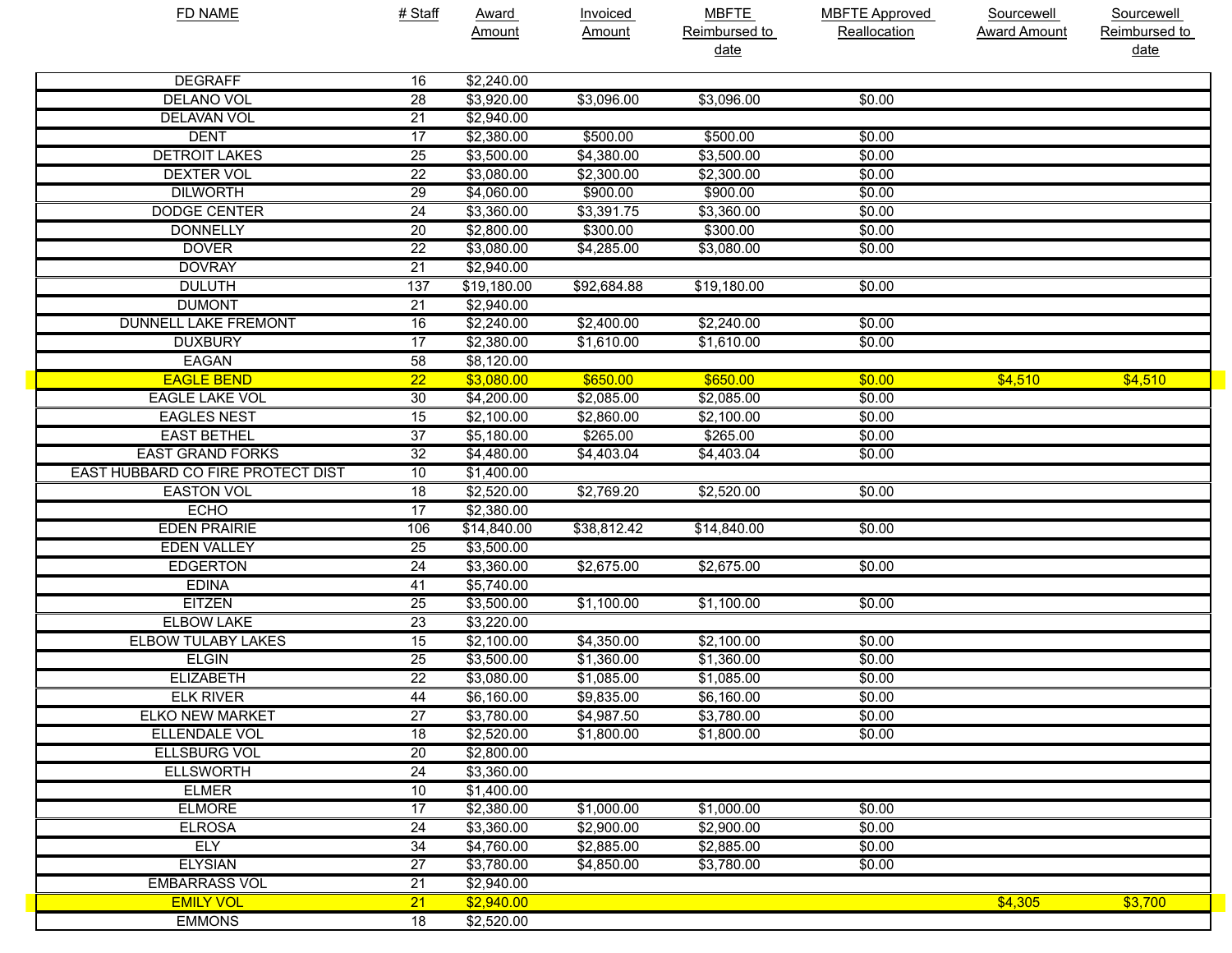| <b>FD NAME</b>                    | # Staff         | Award       | <b>Invoiced</b> | <b>MBFTE</b>  | <b>MBFTE Approved</b> | Sourcewell          | Sourcewell    |
|-----------------------------------|-----------------|-------------|-----------------|---------------|-----------------------|---------------------|---------------|
|                                   |                 | Amount      | Amount          | Reimbursed to | Reallocation          | <b>Award Amount</b> | Reimbursed to |
|                                   |                 |             |                 | <u>date</u>   |                       |                     | <u>date</u>   |
| <b>DEGRAFF</b>                    | 16              | \$2,240.00  |                 |               |                       |                     |               |
| DELANO VOL                        | 28              | \$3,920.00  | \$3,096.00      | \$3,096.00    | \$0.00                |                     |               |
| DELAVAN VOL                       | 21              | \$2,940.00  |                 |               |                       |                     |               |
| <b>DENT</b>                       | 17              | \$2,380.00  | \$500.00        | \$500.00      | \$0.00                |                     |               |
| <b>DETROIT LAKES</b>              | $\overline{25}$ | \$3,500.00  | \$4,380.00      | \$3,500.00    | \$0.00                |                     |               |
| DEXTER VOL                        | 22              | \$3,080.00  | \$2,300.00      | \$2,300.00    | \$0.00                |                     |               |
| <b>DILWORTH</b>                   | 29              | \$4,060.00  | \$900.00        | \$900.00      | \$0.00                |                     |               |
| <b>DODGE CENTER</b>               | 24              | \$3,360.00  | \$3,391.75      | \$3,360.00    | \$0.00                |                     |               |
| <b>DONNELLY</b>                   | 20              | \$2,800.00  | \$300.00        | \$300.00      | \$0.00                |                     |               |
| <b>DOVER</b>                      | 22              | \$3,080.00  | \$4,285.00      | \$3,080.00    | \$0.00                |                     |               |
| <b>DOVRAY</b>                     | $\overline{21}$ | \$2,940.00  |                 |               |                       |                     |               |
| <b>DULUTH</b>                     | 137             | \$19,180.00 | \$92,684.88     | \$19,180.00   | \$0.00                |                     |               |
| <b>DUMONT</b>                     | $\overline{21}$ | \$2,940.00  |                 |               |                       |                     |               |
| <b>DUNNELL LAKE FREMONT</b>       | 16              | \$2,240.00  | \$2,400.00      | \$2,240.00    | \$0.00                |                     |               |
| <b>DUXBURY</b>                    | 17              | \$2,380.00  | \$1,610.00      | \$1,610.00    | \$0.00                |                     |               |
| EAGAN                             | 58              | \$8,120.00  |                 |               |                       |                     |               |
| <b>EAGLE BEND</b>                 | $\overline{22}$ | \$3,080.00  | \$650.00        | \$650.00      | \$0.00                | \$4,510             | \$4,510       |
| <b>EAGLE LAKE VOL</b>             | 30              | \$4,200.00  | \$2,085.00      | \$2,085.00    | \$0.00                |                     |               |
| <b>EAGLES NEST</b>                | 15              | \$2,100.00  | \$2,860.00      | \$2,100.00    | \$0.00                |                     |               |
| <b>EAST BETHEL</b>                | $\overline{37}$ | \$5,180.00  | \$265.00        | \$265.00      | \$0.00                |                     |               |
| <b>EAST GRAND FORKS</b>           | 32              | \$4,480.00  | \$4,403.04      | \$4,403.04    | \$0.00                |                     |               |
| EAST HUBBARD CO FIRE PROTECT DIST | 10              | \$1,400.00  |                 |               |                       |                     |               |
| <b>EASTON VOL</b>                 | 18              | \$2,520.00  | \$2,769.20      | \$2,520.00    | \$0.00                |                     |               |
| <b>ECHO</b>                       | $\overline{17}$ | \$2,380.00  |                 |               |                       |                     |               |
| <b>EDEN PRAIRIE</b>               | 106             | \$14,840.00 | \$38,812.42     | \$14,840.00   | \$0.00                |                     |               |
| <b>EDEN VALLEY</b>                | 25              | \$3,500.00  |                 |               |                       |                     |               |
| <b>EDGERTON</b>                   | 24              | \$3,360.00  | \$2,675.00      | \$2,675.00    | \$0.00                |                     |               |
| <b>EDINA</b>                      | 41              | \$5,740.00  |                 |               |                       |                     |               |
| <b>EITZEN</b>                     | 25              | \$3,500.00  | \$1,100.00      | \$1,100.00    | \$0.00                |                     |               |
| <b>ELBOW LAKE</b>                 | 23              | \$3,220.00  |                 |               |                       |                     |               |
| <b>ELBOW TULABY LAKES</b>         | 15              | \$2,100.00  | \$4,350.00      | \$2,100.00    | \$0.00                |                     |               |
| <b>ELGIN</b>                      | 25              | \$3,500.00  | \$1,360.00      | \$1,360.00    | \$0.00                |                     |               |
| <b>ELIZABETH</b>                  | 22              | \$3,080.00  | \$1,085.00      | \$1,085.00    | \$0.00                |                     |               |
| <b>ELK RIVER</b>                  | 44              | \$6,160.00  | \$9,835.00      | \$6,160.00    | \$0.00                |                     |               |
| <b>ELKO NEW MARKET</b>            | $\overline{27}$ | \$3,780.00  | \$4,987.50      | \$3,780.00    | \$0.00                |                     |               |
| <b>ELLENDALE VOL</b>              | 18              | \$2,520.00  | \$1,800.00      | \$1,800.00    | \$0.00                |                     |               |
| <b>ELLSBURG VOL</b>               | 20              | \$2,800.00  |                 |               |                       |                     |               |
| <b>ELLSWORTH</b>                  | $\overline{24}$ | \$3,360.00  |                 |               |                       |                     |               |
| <b>ELMER</b>                      | 10              | \$1,400.00  |                 |               |                       |                     |               |
| <b>ELMORE</b>                     | $\overline{17}$ | \$2,380.00  | \$1,000.00      | \$1,000.00    | \$0.00                |                     |               |
| <b>ELROSA</b>                     | $\overline{24}$ | \$3,360.00  | \$2,900.00      | \$2,900.00    | \$0.00                |                     |               |
| <b>ELY</b>                        | $\overline{34}$ | \$4,760.00  | \$2,885.00      | \$2,885.00    | \$0.00                |                     |               |
| <b>ELYSIAN</b>                    | $\overline{27}$ | \$3,780.00  | \$4,850.00      | \$3,780.00    | \$0.00                |                     |               |
| <b>EMBARRASS VOL</b>              | $\overline{21}$ | \$2,940.00  |                 |               |                       |                     |               |
| <b>EMILY VOL</b>                  | 21              | \$2,940.00  |                 |               |                       | \$4,305             | \$3,700       |
| <b>EMMONS</b>                     | $\overline{18}$ | \$2,520.00  |                 |               |                       |                     |               |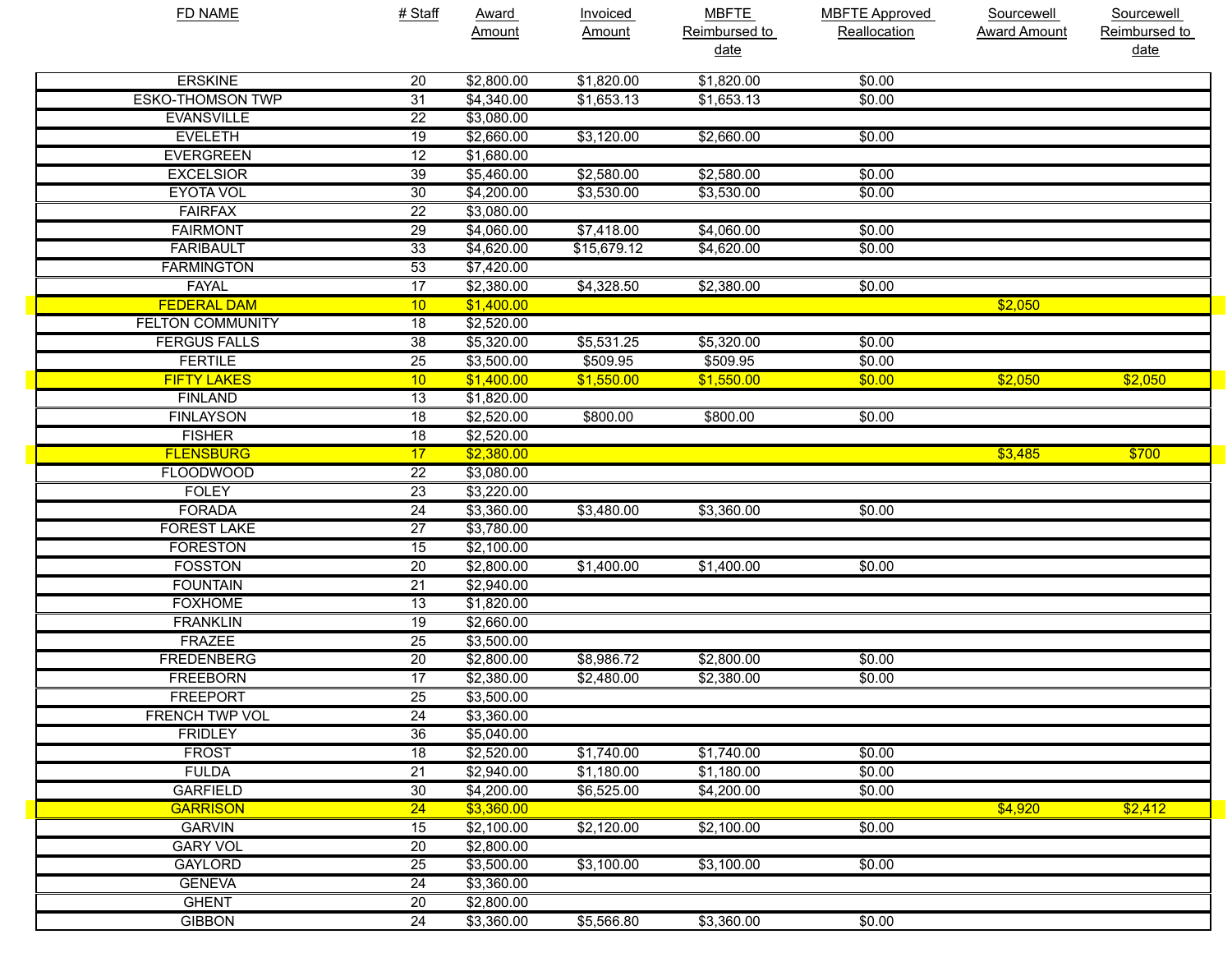| <b>FD NAME</b>          | # Staff         | <b>Award</b> | Invoiced      | <b>MBFTE</b>  | <b>MBFTE Approved</b> | Sourcewell          | Sourcewell    |
|-------------------------|-----------------|--------------|---------------|---------------|-----------------------|---------------------|---------------|
|                         |                 | Amount       | <b>Amount</b> | Reimbursed to | Reallocation          | <b>Award Amount</b> | Reimbursed to |
|                         |                 |              |               | <u>date</u>   |                       |                     | date          |
| <b>ERSKINE</b>          | 20              | \$2,800.00   | \$1,820.00    | \$1,820.00    | \$0.00                |                     |               |
| <b>ESKO-THOMSON TWP</b> | 31              | \$4,340.00   | \$1,653.13    | \$1,653.13    | \$0.00                |                     |               |
| <b>EVANSVILLE</b>       | $\overline{22}$ | \$3,080.00   |               |               |                       |                     |               |
| <b>EVELETH</b>          | $\overline{19}$ | \$2,660.00   | \$3,120.00    | \$2,660.00    | \$0.00                |                     |               |
| <b>EVERGREEN</b>        | $\overline{12}$ | \$1,680.00   |               |               |                       |                     |               |
| <b>EXCELSIOR</b>        | $\overline{39}$ | \$5,460.00   | \$2,580.00    | \$2,580.00    | \$0.00                |                     |               |
| <b>EYOTA VOL</b>        | $\overline{30}$ | \$4,200.00   | \$3,530.00    | \$3,530.00    | \$0.00                |                     |               |
| <b>FAIRFAX</b>          | $\overline{22}$ | \$3,080.00   |               |               |                       |                     |               |
| <b>FAIRMONT</b>         | $\overline{29}$ | \$4,060.00   | \$7,418.00    | \$4,060.00    | \$0.00                |                     |               |
| <b>FARIBAULT</b>        | 33              | \$4,620.00   | \$15,679.12   | \$4,620.00    | \$0.00                |                     |               |
| <b>FARMINGTON</b>       | 53              | \$7,420.00   |               |               |                       |                     |               |
| <b>FAYAL</b>            | 17              | \$2,380.00   | \$4,328.50    | \$2,380.00    | \$0.00                |                     |               |
| <b>FEDERAL DAM</b>      | 10              | \$1,400.00   |               |               |                       | \$2,050             |               |
| <b>FELTON COMMUNITY</b> | $\overline{18}$ | \$2,520.00   |               |               |                       |                     |               |
| <b>FERGUS FALLS</b>     | $\overline{38}$ | \$5,320.00   | \$5,531.25    | \$5,320.00    | \$0.00                |                     |               |
| <b>FERTILE</b>          | $\overline{25}$ | \$3,500.00   | \$509.95      | \$509.95      | \$0.00                |                     |               |
| <b>FIFTY LAKES</b>      | 10              | \$1,400.00   | \$1,550.00    | \$1,550.00    | \$0.00                | \$2,050             | \$2,050       |
| <b>FINLAND</b>          | $\overline{13}$ | \$1,820.00   |               |               |                       |                     |               |
| <b>FINLAYSON</b>        | $\overline{18}$ | \$2,520.00   | \$800.00      | \$800.00      | \$0.00                |                     |               |
| <b>FISHER</b>           | $\overline{18}$ | \$2,520.00   |               |               |                       |                     |               |
| <b>FLENSBURG</b>        | 17              | \$2,380.00   |               |               |                       | \$3,485             | \$700         |
| <b>FLOODWOOD</b>        | $\overline{22}$ | \$3,080.00   |               |               |                       |                     |               |
| <b>FOLEY</b>            | $\overline{23}$ | \$3,220.00   |               |               |                       |                     |               |
| <b>FORADA</b>           | $\overline{24}$ | \$3,360.00   | \$3,480.00    | \$3,360.00    | \$0.00                |                     |               |
| <b>FOREST LAKE</b>      | $\overline{27}$ | \$3,780.00   |               |               |                       |                     |               |
| <b>FORESTON</b>         | $\overline{15}$ | \$2,100.00   |               |               |                       |                     |               |
| <b>FOSSTON</b>          | $\overline{20}$ | \$2,800.00   | \$1,400.00    | \$1,400.00    | \$0.00                |                     |               |
| <b>FOUNTAIN</b>         | $\overline{21}$ | \$2,940.00   |               |               |                       |                     |               |
| <b>FOXHOME</b>          | $\overline{13}$ | \$1,820.00   |               |               |                       |                     |               |
| <b>FRANKLIN</b>         | $\overline{19}$ | \$2,660.00   |               |               |                       |                     |               |
| <b>FRAZEE</b>           | $\overline{25}$ | \$3,500.00   |               |               |                       |                     |               |
| <b>FREDENBERG</b>       | $\overline{20}$ | \$2,800.00   | \$8,986.72    | \$2,800.00    | \$0.00                |                     |               |
| <b>FREEBORN</b>         | 17              | \$2,380.00   | \$2,480.00    | \$2,380.00    | \$0.00                |                     |               |
| FREEPORT                | $\overline{25}$ | \$3,500.00   |               |               |                       |                     |               |
| <b>FRENCH TWP VOL</b>   | $\overline{24}$ | \$3,360.00   |               |               |                       |                     |               |
| <b>FRIDLEY</b>          | $\overline{36}$ | \$5,040.00   |               |               |                       |                     |               |
| <b>FROST</b>            | $\overline{18}$ | \$2,520.00   | \$1,740.00    | \$1,740.00    | \$0.00                |                     |               |
| <b>FULDA</b>            | $\overline{21}$ | \$2,940.00   | \$1,180.00    | \$1,180.00    | \$0.00                |                     |               |
| <b>GARFIELD</b>         | 30              | \$4,200.00   | \$6,525.00    | \$4,200.00    | \$0.00                |                     |               |
| <b>GARRISON</b>         | $\overline{24}$ | \$3,360.00   |               |               |                       | \$4,920             | \$2,412       |
| <b>GARVIN</b>           | $\overline{15}$ | \$2,100.00   | \$2,120.00    | \$2,100.00    | \$0.00                |                     |               |
| <b>GARY VOL</b>         | $\overline{20}$ | \$2,800.00   |               |               |                       |                     |               |
| <b>GAYLORD</b>          | $\overline{25}$ | \$3,500.00   | \$3,100.00    | \$3,100.00    | \$0.00                |                     |               |
| <b>GENEVA</b>           | $\overline{24}$ | \$3,360.00   |               |               |                       |                     |               |
| <b>GHENT</b>            | $\overline{20}$ | \$2,800.00   |               |               |                       |                     |               |
| <b>GIBBON</b>           | 24              | \$3,360.00   | \$5,566.80    | \$3,360.00    | \$0.00                |                     |               |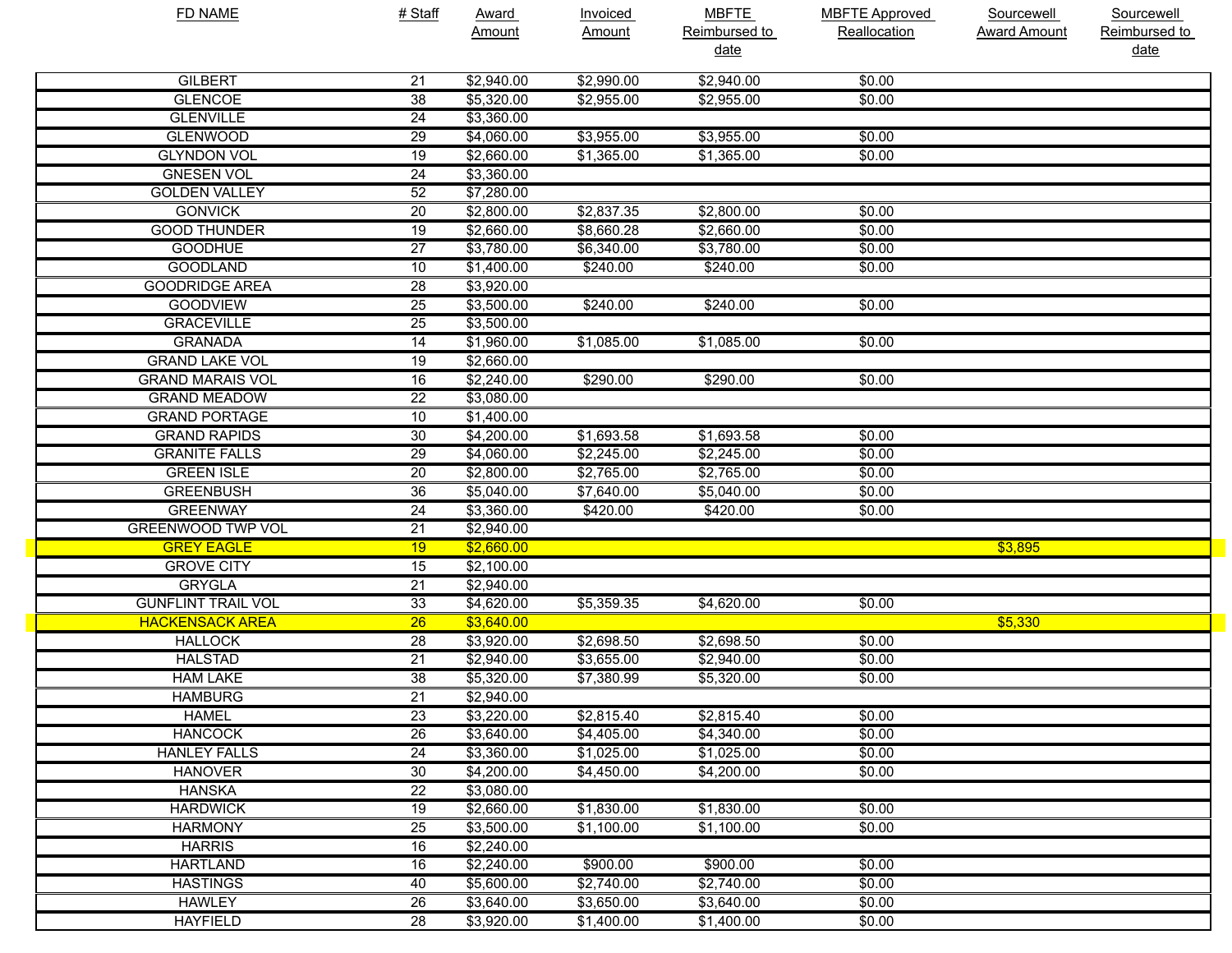| <b>FD NAME</b>            | # Staff         | Award      | <b>Invoiced</b> | <b>MBFTE</b>  | <b>MBFTE Approved</b> | Sourcewell          | Sourcewell    |
|---------------------------|-----------------|------------|-----------------|---------------|-----------------------|---------------------|---------------|
|                           |                 | Amount     | Amount          | Reimbursed to | Reallocation          | <b>Award Amount</b> | Reimbursed to |
|                           |                 |            |                 | date          |                       |                     | <u>date</u>   |
| <b>GILBERT</b>            | 21              | \$2,940.00 | \$2,990.00      | \$2,940.00    | \$0.00                |                     |               |
| <b>GLENCOE</b>            | $\overline{38}$ | \$5,320.00 | \$2,955.00      | \$2,955.00    | \$0.00                |                     |               |
| <b>GLENVILLE</b>          | 24              | \$3,360.00 |                 |               |                       |                     |               |
| <b>GLENWOOD</b>           | 29              | \$4,060.00 | \$3,955.00      | \$3,955.00    | \$0.00                |                     |               |
| <b>GLYNDON VOL</b>        | $\overline{19}$ | \$2,660.00 | \$1,365.00      | \$1,365.00    | $\sqrt{$0.00}$        |                     |               |
| <b>GNESEN VOL</b>         | 24              | \$3,360.00 |                 |               |                       |                     |               |
| <b>GOLDEN VALLEY</b>      | 52              | \$7,280.00 |                 |               |                       |                     |               |
| <b>GONVICK</b>            | 20              | \$2,800.00 | \$2,837.35      | \$2,800.00    | \$0.00                |                     |               |
| <b>GOOD THUNDER</b>       | 19              | \$2,660.00 | \$8,660.28      | \$2,660.00    | \$0.00                |                     |               |
| <b>GOODHUE</b>            | $\overline{27}$ | \$3,780.00 | \$6,340.00      | \$3,780.00    | \$0.00                |                     |               |
| <b>GOODLAND</b>           | 10              | \$1,400.00 | \$240.00        | \$240.00      | \$0.00                |                     |               |
| <b>GOODRIDGE AREA</b>     | 28              | \$3,920.00 |                 |               |                       |                     |               |
| <b>GOODVIEW</b>           | 25              | \$3,500.00 | \$240.00        | \$240.00      | \$0.00                |                     |               |
| <b>GRACEVILLE</b>         | 25              | \$3,500.00 |                 |               |                       |                     |               |
| <b>GRANADA</b>            | $\overline{14}$ | \$1,960.00 | \$1,085.00      | \$1,085.00    | \$0.00                |                     |               |
| <b>GRAND LAKE VOL</b>     | 19              | \$2,660.00 |                 |               |                       |                     |               |
| <b>GRAND MARAIS VOL</b>   | 16              | \$2,240.00 | \$290.00        | \$290.00      | \$0.00                |                     |               |
| <b>GRAND MEADOW</b>       | 22              | \$3,080.00 |                 |               |                       |                     |               |
| <b>GRAND PORTAGE</b>      | 10              | \$1,400.00 |                 |               |                       |                     |               |
| <b>GRAND RAPIDS</b>       | 30              | \$4,200.00 | \$1,693.58      | \$1,693.58    | \$0.00                |                     |               |
| <b>GRANITE FALLS</b>      | 29              | \$4,060.00 | \$2,245.00      | \$2,245.00    | \$0.00                |                     |               |
| <b>GREEN ISLE</b>         | 20              | \$2,800.00 | \$2,765.00      | \$2,765.00    | \$0.00                |                     |               |
| <b>GREENBUSH</b>          | 36              | \$5,040.00 | \$7,640.00      | \$5,040.00    | \$0.00                |                     |               |
| <b>GREENWAY</b>           | 24              | \$3,360.00 | \$420.00        | \$420.00      | \$0.00                |                     |               |
| <b>GREENWOOD TWP VOL</b>  | 21              | \$2,940.00 |                 |               |                       |                     |               |
| <b>GREY EAGLE</b>         | 19              | \$2,660.00 |                 |               |                       | \$3,895             |               |
| <b>GROVE CITY</b>         | 15              | \$2,100.00 |                 |               |                       |                     |               |
| <b>GRYGLA</b>             | $\overline{21}$ | \$2,940.00 |                 |               |                       |                     |               |
| <b>GUNFLINT TRAIL VOL</b> | 33              | \$4,620.00 | \$5,359.35      | \$4,620.00    | \$0.00                |                     |               |
| <b>HACKENSACK AREA</b>    | $\overline{26}$ | \$3,640.00 |                 |               |                       | \$5,330             |               |
| <b>HALLOCK</b>            | 28              | \$3,920.00 | \$2,698.50      | \$2,698.50    | \$0.00                |                     |               |
| <b>HALSTAD</b>            | $\overline{21}$ | \$2,940.00 | \$3,655.00      | \$2,940.00    | \$0.00                |                     |               |
| <b>HAM LAKE</b>           | 38              | \$5,320.00 | \$7,380.99      | \$5,320.00    | \$0.00                |                     |               |
| <b>HAMBURG</b>            | $\overline{21}$ | \$2,940.00 |                 |               |                       |                     |               |
| <b>HAMEL</b>              | 23              | \$3,220.00 | \$2,815.40      | \$2,815.40    | \$0.00                |                     |               |
| <b>HANCOCK</b>            | 26              | \$3,640.00 | \$4,405.00      | \$4,340.00    | \$0.00                |                     |               |
| <b>HANLEY FALLS</b>       | 24              | \$3,360.00 | \$1,025.00      | \$1,025.00    | \$0.00                |                     |               |
| <b>HANOVER</b>            | 30              | \$4,200.00 | \$4,450.00      | \$4,200.00    | \$0.00                |                     |               |
| <b>HANSKA</b>             | 22              | \$3,080.00 |                 |               |                       |                     |               |
| <b>HARDWICK</b>           | $\overline{19}$ | \$2,660.00 | \$1,830.00      | \$1,830.00    | \$0.00                |                     |               |
| <b>HARMONY</b>            | $\overline{25}$ | \$3,500.00 | \$1,100.00      | \$1,100.00    | \$0.00                |                     |               |
| <b>HARRIS</b>             | 16              | \$2,240.00 |                 |               |                       |                     |               |
| <b>HARTLAND</b>           | 16              | \$2,240.00 | \$900.00        | \$900.00      | \$0.00                |                     |               |
| <b>HASTINGS</b>           | 40              | \$5,600.00 | \$2,740.00      | \$2,740.00    | \$0.00                |                     |               |
| <b>HAWLEY</b>             | 26              | \$3,640.00 | \$3,650.00      | \$3,640.00    | \$0.00                |                     |               |
| <b>HAYFIELD</b>           | 28              | \$3,920.00 | \$1,400.00      | \$1,400.00    | \$0.00                |                     |               |
|                           |                 |            |                 |               |                       |                     |               |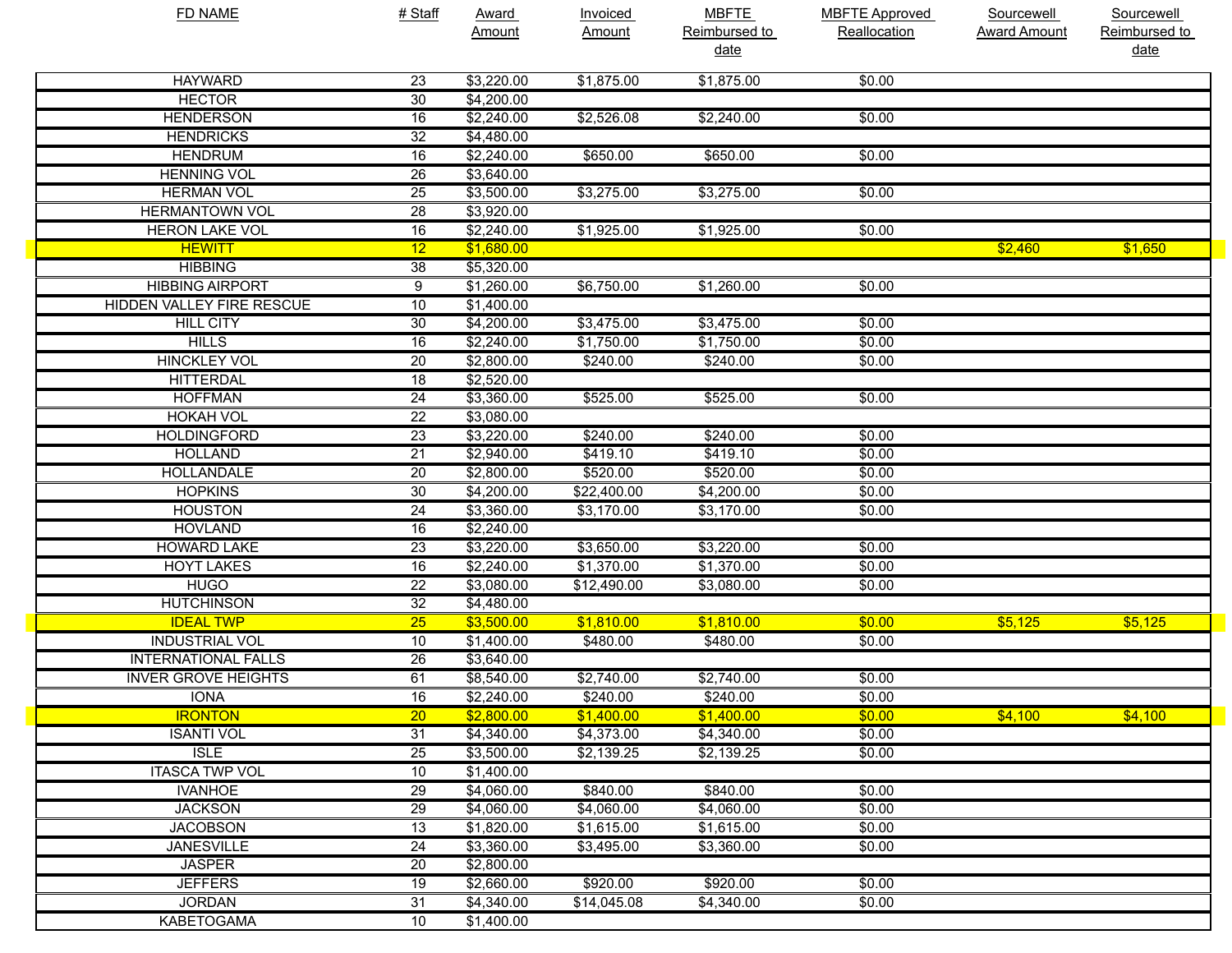| <b>FD NAME</b>                   | # Staff         | <b>Award</b> | <b>Invoiced</b> | <b>MBFTE</b>  | <b>MBFTE Approved</b> | <b>Sourcewell</b>   | Sourcewell    |
|----------------------------------|-----------------|--------------|-----------------|---------------|-----------------------|---------------------|---------------|
|                                  |                 | Amount       | Amount          | Reimbursed to | Reallocation          | <b>Award Amount</b> | Reimbursed to |
|                                  |                 |              |                 | <u>date</u>   |                       |                     | <u>date</u>   |
| <b>HAYWARD</b>                   | 23              | \$3,220.00   | \$1,875.00      | \$1,875.00    | \$0.00                |                     |               |
| <b>HECTOR</b>                    | 30              | \$4,200.00   |                 |               |                       |                     |               |
| <b>HENDERSON</b>                 | 16              | \$2,240.00   | \$2,526.08      | \$2,240.00    | \$0.00                |                     |               |
| <b>HENDRICKS</b>                 | $\overline{32}$ | \$4,480.00   |                 |               |                       |                     |               |
| <b>HENDRUM</b>                   | 16              | \$2,240.00   | \$650.00        | \$650.00      | \$0.00                |                     |               |
| <b>HENNING VOL</b>               | 26              | \$3,640.00   |                 |               |                       |                     |               |
| <b>HERMAN VOL</b>                | 25              | \$3,500.00   | \$3,275.00      | \$3,275.00    | \$0.00                |                     |               |
| <b>HERMANTOWN VOL</b>            | 28              | \$3,920.00   |                 |               |                       |                     |               |
| <b>HERON LAKE VOL</b>            | 16              | \$2,240.00   | \$1,925.00      | \$1,925.00    | \$0.00                |                     |               |
| <b>HEWITT</b>                    | 12              | \$1,680.00   |                 |               |                       | \$2,460             | \$1,650       |
| <b>HIBBING</b>                   | 38              | \$5,320.00   |                 |               |                       |                     |               |
| <b>HIBBING AIRPORT</b>           | 9               | \$1,260.00   | \$6,750.00      | \$1,260.00    | \$0.00                |                     |               |
| <b>HIDDEN VALLEY FIRE RESCUE</b> | 10              | \$1,400.00   |                 |               |                       |                     |               |
| <b>HILL CITY</b>                 | 30              | \$4,200.00   | \$3,475.00      | \$3,475.00    | \$0.00                |                     |               |
| <b>HILLS</b>                     | 16              | \$2,240.00   | \$1,750.00      | \$1,750.00    | \$0.00                |                     |               |
| <b>HINCKLEY VOL</b>              | 20              | \$2,800.00   | \$240.00        | \$240.00      | \$0.00                |                     |               |
| <b>HITTERDAL</b>                 | 18              | \$2,520.00   |                 |               |                       |                     |               |
| <b>HOFFMAN</b>                   | 24              | \$3,360.00   | \$525.00        | \$525.00      | \$0.00                |                     |               |
| <b>HOKAH VOL</b>                 | 22              | \$3,080.00   |                 |               |                       |                     |               |
| <b>HOLDINGFORD</b>               | 23              | \$3,220.00   | \$240.00        | \$240.00      | \$0.00                |                     |               |
| <b>HOLLAND</b>                   | 21              | \$2,940.00   | \$419.10        | \$419.10      | \$0.00                |                     |               |
| <b>HOLLANDALE</b>                | 20              | \$2,800.00   | \$520.00        | \$520.00      | \$0.00                |                     |               |
| <b>HOPKINS</b>                   | 30              | \$4,200.00   | \$22,400.00     | \$4,200.00    | \$0.00                |                     |               |
| <b>HOUSTON</b>                   | 24              | \$3,360.00   | \$3,170.00      | \$3,170.00    | \$0.00                |                     |               |
| <b>HOVLAND</b>                   | 16              | \$2,240.00   |                 |               |                       |                     |               |
| <b>HOWARD LAKE</b>               | $\overline{23}$ | \$3,220.00   | \$3,650.00      | \$3,220.00    | \$0.00                |                     |               |
| <b>HOYT LAKES</b>                | 16              | \$2,240.00   | \$1,370.00      | \$1,370.00    | \$0.00                |                     |               |
| <b>HUGO</b>                      | $\overline{22}$ | \$3,080.00   | \$12,490.00     | \$3,080.00    | \$0.00                |                     |               |
| <b>HUTCHINSON</b>                | 32              | \$4,480.00   |                 |               |                       |                     |               |
| <b>IDEAL TWP</b>                 | $\overline{25}$ | \$3,500.00   | \$1,810.00      | \$1,810.00    | \$0.00                | \$5,125             | \$5,125       |
| <b>INDUSTRIAL VOL</b>            | 10              | \$1,400.00   | \$480.00        | \$480.00      | \$0.00                |                     |               |
| <b>INTERNATIONAL FALLS</b>       | 26              | \$3,640.00   |                 |               |                       |                     |               |
| <b>INVER GROVE HEIGHTS</b>       | 61              | \$8,540.00   | \$2,740.00      | \$2,740.00    | \$0.00                |                     |               |
| IONA                             | 16              | \$2,240.00   | \$240.00        | \$240.00      | \$0.00                |                     |               |
| <b>IRONTON</b>                   | 20              | \$2,800.00   | \$1,400.00      | \$1,400.00    | \$0.00                | \$4,100             | \$4,100       |
| <b>ISANTI VOL</b>                | 31              | \$4,340.00   | \$4,373.00      | \$4,340.00    | \$0.00                |                     |               |
| <b>ISLE</b>                      | 25              | \$3,500.00   | \$2,139.25      | \$2,139.25    | \$0.00                |                     |               |
| <b>ITASCA TWP VOL</b>            | 10              | \$1,400.00   |                 |               |                       |                     |               |
| <b>IVANHOE</b>                   | 29              | \$4,060.00   | \$840.00        | \$840.00      | \$0.00                |                     |               |
| <b>JACKSON</b>                   | 29              | \$4,060.00   | \$4,060.00      | \$4,060.00    | \$0.00                |                     |               |
| <b>JACOBSON</b>                  | 13              | \$1,820.00   | \$1,615.00      | \$1,615.00    | \$0.00                |                     |               |
| <b>JANESVILLE</b>                | 24              | \$3,360.00   | \$3,495.00      | \$3,360.00    | \$0.00                |                     |               |
| <b>JASPER</b>                    | 20              | \$2,800.00   |                 |               |                       |                     |               |
| <b>JEFFERS</b>                   | 19              | \$2,660.00   | \$920.00        | \$920.00      | \$0.00                |                     |               |
| <b>JORDAN</b>                    | 31              | \$4,340.00   | \$14,045.08     | \$4,340.00    | \$0.00                |                     |               |
| <b>KABETOGAMA</b>                | 10              | \$1,400.00   |                 |               |                       |                     |               |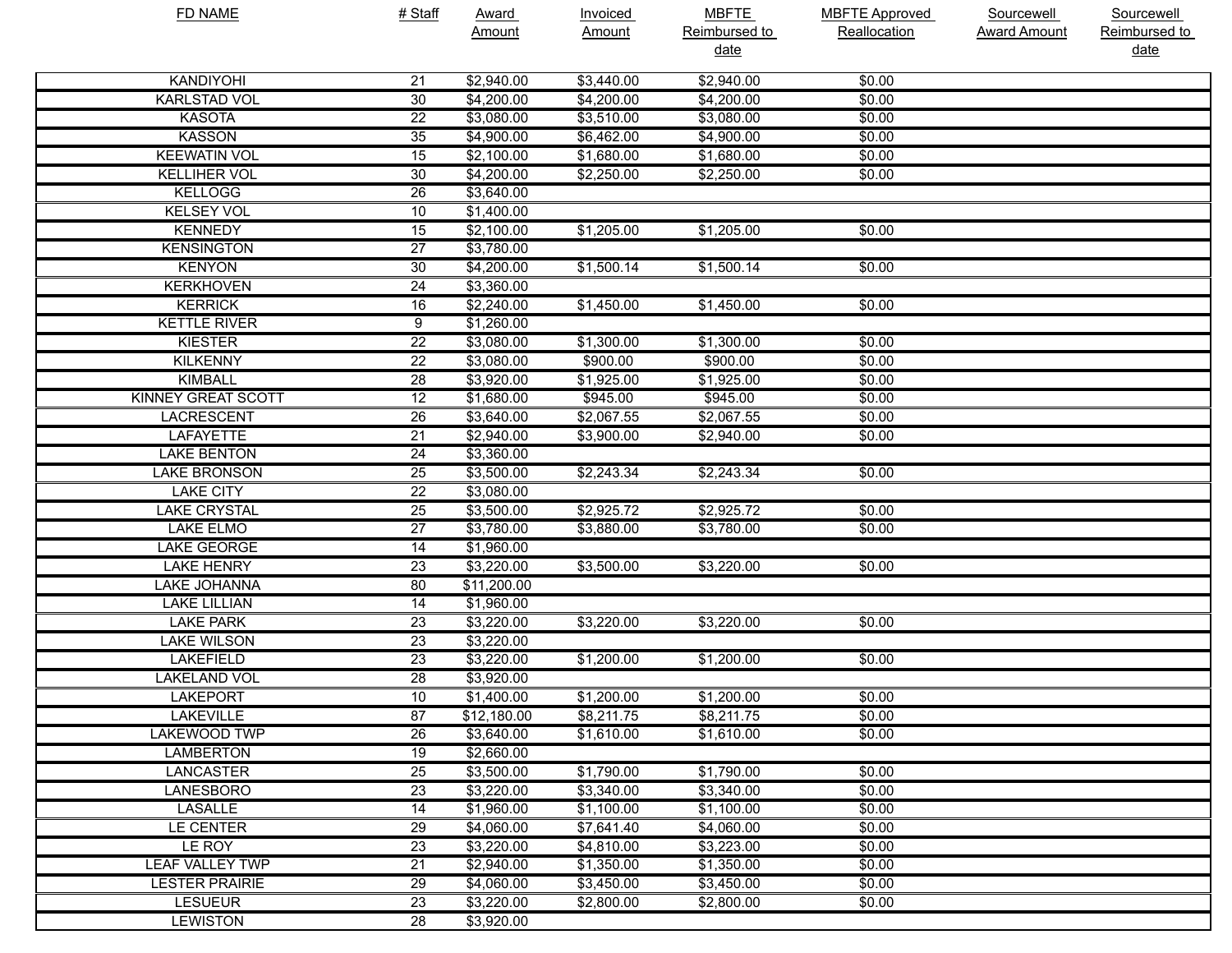| <b>FD NAME</b>            | # Staff         | <b>Award</b> | <b>Invoiced</b> | <b>MBFTE</b>  | <b>MBFTE Approved</b> | Sourcewell          | Sourcewell    |
|---------------------------|-----------------|--------------|-----------------|---------------|-----------------------|---------------------|---------------|
|                           |                 | Amount       | <b>Amount</b>   | Reimbursed to | Reallocation          | <b>Award Amount</b> | Reimbursed to |
|                           |                 |              |                 | <u>date</u>   |                       |                     | date          |
| <b>KANDIYOHI</b>          | 21              | \$2,940.00   | \$3,440.00      | \$2,940.00    | \$0.00                |                     |               |
| <b>KARLSTAD VOL</b>       | $\overline{30}$ | \$4,200.00   | \$4,200.00      | \$4,200.00    | \$0.00                |                     |               |
| <b>KASOTA</b>             | $\overline{22}$ | \$3,080.00   | \$3,510.00      | \$3,080.00    | \$0.00                |                     |               |
| <b>KASSON</b>             | $\overline{35}$ | \$4,900.00   | \$6,462.00      | \$4,900.00    | \$0.00                |                     |               |
| <b>KEEWATIN VOL</b>       | $\overline{15}$ | \$2,100.00   | \$1,680.00      | \$1,680.00    | \$0.00                |                     |               |
| <b>KELLIHER VOL</b>       | 30              | \$4,200.00   | \$2,250.00      | \$2,250.00    | \$0.00                |                     |               |
| <b>KELLOGG</b>            | 26              | \$3,640.00   |                 |               |                       |                     |               |
| <b>KELSEY VOL</b>         | 10              | \$1,400.00   |                 |               |                       |                     |               |
| <b>KENNEDY</b>            | 15              | \$2,100.00   | \$1,205.00      | \$1,205.00    | \$0.00                |                     |               |
| <b>KENSINGTON</b>         | $\overline{27}$ | \$3,780.00   |                 |               |                       |                     |               |
| <b>KENYON</b>             | 30              | \$4,200.00   | \$1,500.14      | \$1,500.14    | \$0.00                |                     |               |
| <b>KERKHOVEN</b>          | 24              | \$3,360.00   |                 |               |                       |                     |               |
| <b>KERRICK</b>            | 16              | \$2,240.00   | \$1,450.00      | \$1,450.00    | \$0.00                |                     |               |
| <b>KETTLE RIVER</b>       | 9               | \$1,260.00   |                 |               |                       |                     |               |
| <b>KIESTER</b>            | $\overline{22}$ | \$3,080.00   | \$1,300.00      | \$1,300.00    | \$0.00                |                     |               |
| <b>KILKENNY</b>           | $\overline{22}$ | \$3,080.00   | \$900.00        | \$900.00      | \$0.00                |                     |               |
| <b>KIMBALL</b>            | $\overline{28}$ | \$3,920.00   | \$1,925.00      | \$1,925.00    | \$0.00                |                     |               |
| <b>KINNEY GREAT SCOTT</b> | $\overline{12}$ | \$1,680.00   | \$945.00        | \$945.00      | \$0.00                |                     |               |
| <b>LACRESCENT</b>         | $\overline{26}$ | \$3,640.00   | \$2,067.55      | \$2,067.55    | \$0.00                |                     |               |
| <b>LAFAYETTE</b>          | $\overline{21}$ | \$2,940.00   | \$3,900.00      | \$2,940.00    | \$0.00                |                     |               |
| <b>LAKE BENTON</b>        | $\overline{24}$ | \$3,360.00   |                 |               |                       |                     |               |
| <b>LAKE BRONSON</b>       | $\overline{25}$ | \$3,500.00   | \$2,243.34      | \$2,243.34    | \$0.00                |                     |               |
| <b>LAKE CITY</b>          | $\overline{22}$ | \$3,080.00   |                 |               |                       |                     |               |
| <b>LAKE CRYSTAL</b>       | $\overline{25}$ | \$3,500.00   | \$2,925.72      | \$2,925.72    | \$0.00                |                     |               |
| <b>LAKE ELMO</b>          | $\overline{27}$ | \$3,780.00   | \$3,880.00      | \$3,780.00    | \$0.00                |                     |               |
| <b>LAKE GEORGE</b>        | $\overline{14}$ | \$1,960.00   |                 |               |                       |                     |               |
| <b>LAKE HENRY</b>         | $\overline{23}$ | \$3,220.00   | \$3,500.00      | \$3,220.00    | \$0.00                |                     |               |
| <b>LAKE JOHANNA</b>       | 80              | \$11,200.00  |                 |               |                       |                     |               |
| <b>LAKE LILLIAN</b>       | 14              | \$1,960.00   |                 |               |                       |                     |               |
| <b>LAKE PARK</b>          | $\overline{23}$ | \$3,220.00   | \$3,220.00      | \$3,220.00    | \$0.00                |                     |               |
| <b>LAKE WILSON</b>        | 23              | \$3,220.00   |                 |               |                       |                     |               |
| <b>LAKEFIELD</b>          | 23              | \$3,220.00   | \$1,200.00      | \$1,200.00    | \$0.00                |                     |               |
| <b>LAKELAND VOL</b>       | 28              | \$3,920.00   |                 |               |                       |                     |               |
| <b>LAKEPORT</b>           | 10              | \$1,400.00   | \$1,200.00      | \$1,200.00    | \$0.00                |                     |               |
| <b>LAKEVILLE</b>          | 87              | \$12,180.00  | \$8,211.75      | \$8,211.75    | \$0.00                |                     |               |
| <b>LAKEWOOD TWP</b>       | 26              | \$3,640.00   | \$1,610.00      | \$1,610.00    | \$0.00                |                     |               |
| <b>LAMBERTON</b>          | 19              | \$2,660.00   |                 |               |                       |                     |               |
| <b>LANCASTER</b>          | $\overline{25}$ | \$3,500.00   | \$1,790.00      | \$1,790.00    | \$0.00                |                     |               |
| <b>LANESBORO</b>          | $\overline{23}$ | \$3,220.00   | \$3,340.00      | \$3,340.00    | \$0.00                |                     |               |
| <b>LASALLE</b>            | 14              | \$1,960.00   | \$1,100.00      | \$1,100.00    | \$0.00                |                     |               |
| LE CENTER                 | 29              | \$4,060.00   | \$7,641.40      | \$4,060.00    | \$0.00                |                     |               |
| LE ROY                    | 23              | \$3,220.00   | \$4,810.00      | \$3,223.00    | \$0.00                |                     |               |
| <b>LEAF VALLEY TWP</b>    | $\overline{21}$ | \$2,940.00   | \$1,350.00      | \$1,350.00    | \$0.00                |                     |               |
| <b>LESTER PRAIRIE</b>     | 29              | \$4,060.00   | \$3,450.00      | \$3,450.00    | \$0.00                |                     |               |
| <b>LESUEUR</b>            | 23              | \$3,220.00   | \$2,800.00      | \$2,800.00    | \$0.00                |                     |               |
| <b>LEWISTON</b>           | 28              | \$3,920.00   |                 |               |                       |                     |               |
|                           |                 |              |                 |               |                       |                     |               |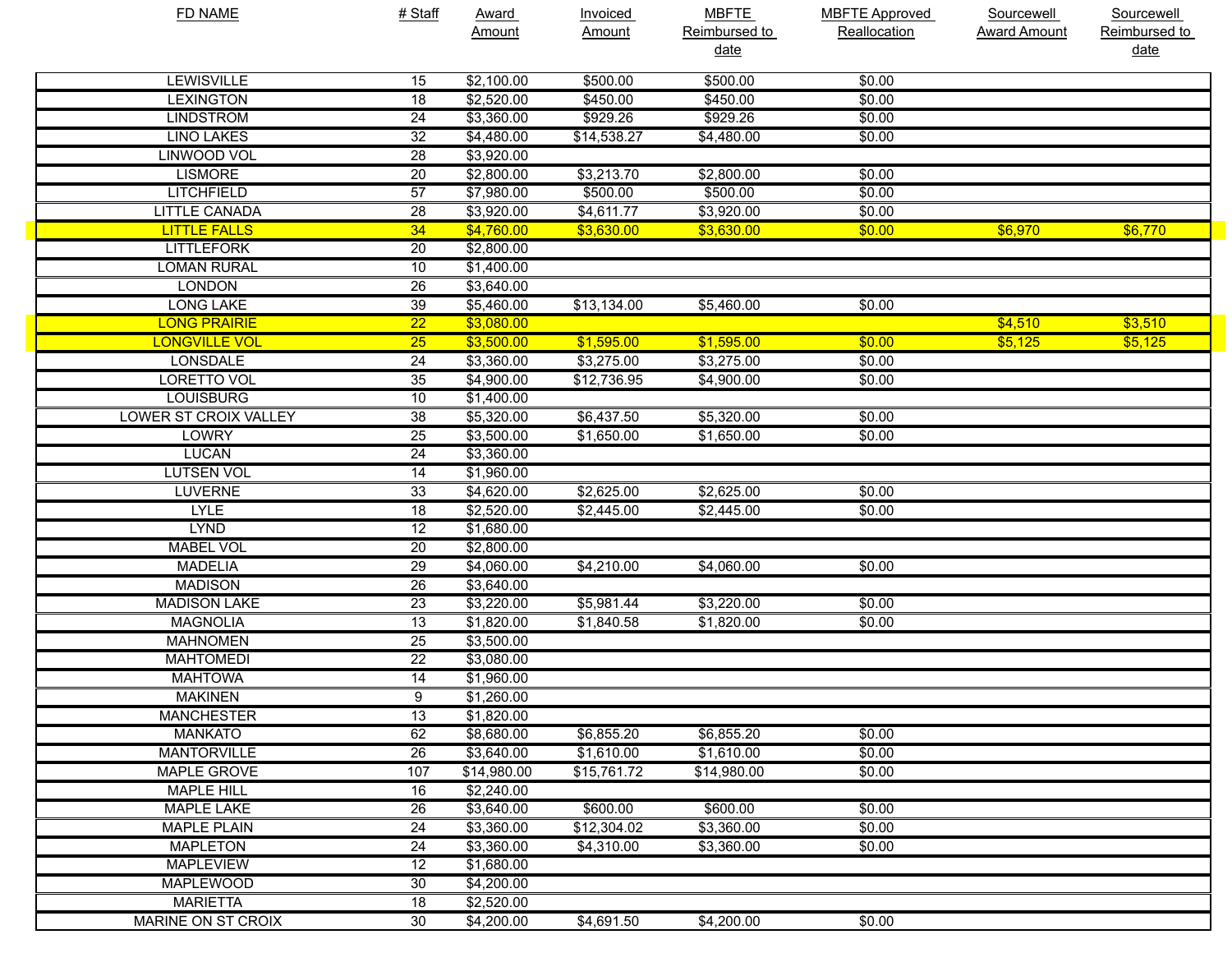| <b>FD NAME</b>               | # Staff         | <b>Award</b> | <b>Invoiced</b> | <b>MBFTE</b>  | <b>MBFTE Approved</b> | Sourcewell          | Sourcewell    |
|------------------------------|-----------------|--------------|-----------------|---------------|-----------------------|---------------------|---------------|
|                              |                 | Amount       | Amount          | Reimbursed to | Reallocation          | <b>Award Amount</b> | Reimbursed to |
|                              |                 |              |                 | <u>date</u>   |                       |                     | date          |
| <b>LEWISVILLE</b>            | 15              | \$2,100.00   | \$500.00        | \$500.00      | \$0.00                |                     |               |
| <b>LEXINGTON</b>             | $\overline{18}$ | \$2,520.00   | \$450.00        | \$450.00      | \$0.00                |                     |               |
| <b>LINDSTROM</b>             | $\overline{24}$ | \$3,360.00   | \$929.26        | \$929.26      | \$0.00                |                     |               |
| <b>LINO LAKES</b>            | $\overline{32}$ | \$4,480.00   | \$14,538.27     | \$4,480.00    | \$0.00                |                     |               |
| <b>LINWOOD VOL</b>           | $\overline{28}$ | \$3,920.00   |                 |               |                       |                     |               |
| <b>LISMORE</b>               | $\overline{20}$ | \$2,800.00   | \$3,213.70      | \$2,800.00    | \$0.00                |                     |               |
| <b>LITCHFIELD</b>            | 57              | \$7,980.00   | \$500.00        | \$500.00      | \$0.00                |                     |               |
| <b>LITTLE CANADA</b>         | $\overline{28}$ | \$3,920.00   | \$4,611.77      | \$3,920.00    | \$0.00                |                     |               |
| <b>LITTLE FALLS</b>          | 34              | \$4,760.00   | \$3,630.00      | \$3,630.00    | \$0.00                | \$6,970             | \$6,770       |
| <b>LITTLEFORK</b>            | 20              | \$2,800.00   |                 |               |                       |                     |               |
| <b>LOMAN RURAL</b>           | 10              | \$1,400.00   |                 |               |                       |                     |               |
| <b>LONDON</b>                | $\overline{26}$ | \$3,640.00   |                 |               |                       |                     |               |
| <b>LONG LAKE</b>             | 39              | \$5,460.00   | \$13,134.00     | \$5,460.00    | \$0.00                |                     |               |
| <b>LONG PRAIRIE</b>          | $\overline{22}$ | \$3,080.00   |                 |               |                       | \$4,510             | \$3,510       |
| <b>LONGVILLE VOL</b>         | $\overline{25}$ | \$3,500.00   | \$1,595.00      | \$1,595.00    | \$0.00                | \$5,125             | \$5,125       |
| <b>LONSDALE</b>              | $\overline{24}$ | \$3,360.00   | \$3,275.00      | \$3,275.00    | \$0.00                |                     |               |
| <b>LORETTO VOL</b>           | $\overline{35}$ | \$4,900.00   | \$12,736.95     | \$4,900.00    | \$0.00                |                     |               |
| <b>LOUISBURG</b>             | 10              | \$1,400.00   |                 |               |                       |                     |               |
| <b>LOWER ST CROIX VALLEY</b> | $\overline{38}$ | \$5,320.00   | \$6,437.50      | \$5,320.00    | \$0.00                |                     |               |
| <b>LOWRY</b>                 | 25              | \$3,500.00   | \$1,650.00      | \$1,650.00    | \$0.00                |                     |               |
| <b>LUCAN</b>                 | $\overline{24}$ | \$3,360.00   |                 |               |                       |                     |               |
| <b>LUTSEN VOL</b>            | $\overline{14}$ | \$1,960.00   |                 |               |                       |                     |               |
| <b>LUVERNE</b>               | $\overline{33}$ | \$4,620.00   | \$2,625.00      | \$2,625.00    | \$0.00                |                     |               |
| <b>LYLE</b>                  | $\overline{18}$ | \$2,520.00   | \$2,445.00      | \$2,445.00    | \$0.00                |                     |               |
| <b>LYND</b>                  | $\overline{12}$ | \$1,680.00   |                 |               |                       |                     |               |
| <b>MABEL VOL</b>             | $\overline{20}$ | \$2,800.00   |                 |               |                       |                     |               |
| <b>MADELIA</b>               | $\overline{29}$ | \$4,060.00   | \$4,210.00      | \$4,060.00    | \$0.00                |                     |               |
| <b>MADISON</b>               | 26              | \$3,640.00   |                 |               |                       |                     |               |
| <b>MADISON LAKE</b>          | $\overline{23}$ | \$3,220.00   | \$5,981.44      | \$3,220.00    | \$0.00                |                     |               |
| <b>MAGNOLIA</b>              | $\overline{13}$ | \$1,820.00   | \$1,840.58      | \$1,820.00    | \$0.00                |                     |               |
| <b>MAHNOMEN</b>              | 25              | \$3,500.00   |                 |               |                       |                     |               |
| <b>MAHTOMEDI</b>             | $\overline{22}$ | \$3,080.00   |                 |               |                       |                     |               |
| <b>MAHTOWA</b>               | $\overline{14}$ | \$1,960.00   |                 |               |                       |                     |               |
| <b>MAKINEN</b>               | $\overline{9}$  | \$1,260.00   |                 |               |                       |                     |               |
| <b>MANCHESTER</b>            | $\overline{13}$ | \$1,820.00   |                 |               |                       |                     |               |
| <b>MANKATO</b>               | 62              | \$8,680.00   | \$6,855.20      | \$6,855.20    | \$0.00                |                     |               |
| <b>MANTORVILLE</b>           | 26              | \$3,640.00   | \$1,610.00      | \$1,610.00    | \$0.00                |                     |               |
| <b>MAPLE GROVE</b>           | 107             | \$14,980.00  | \$15,761.72     | \$14,980.00   | \$0.00                |                     |               |
| <b>MAPLE HILL</b>            | 16              | \$2,240.00   |                 |               |                       |                     |               |
| <b>MAPLE LAKE</b>            | 26              | \$3,640.00   | \$600.00        | \$600.00      | \$0.00                |                     |               |
| <b>MAPLE PLAIN</b>           | $\overline{24}$ | \$3,360.00   | \$12,304.02     | \$3,360.00    | \$0.00                |                     |               |
| <b>MAPLETON</b>              | 24              | \$3,360.00   | \$4,310.00      | \$3,360.00    | \$0.00                |                     |               |
| <b>MAPLEVIEW</b>             | 12              | \$1,680.00   |                 |               |                       |                     |               |
| MAPLEWOOD                    | 30              | \$4,200.00   |                 |               |                       |                     |               |
| <b>MARIETTA</b>              | 18              | \$2,520.00   |                 |               |                       |                     |               |
| <b>MARINE ON ST CROIX</b>    | 30              | \$4,200.00   | \$4,691.50      | \$4,200.00    | \$0.00                |                     |               |
|                              |                 |              |                 |               |                       |                     |               |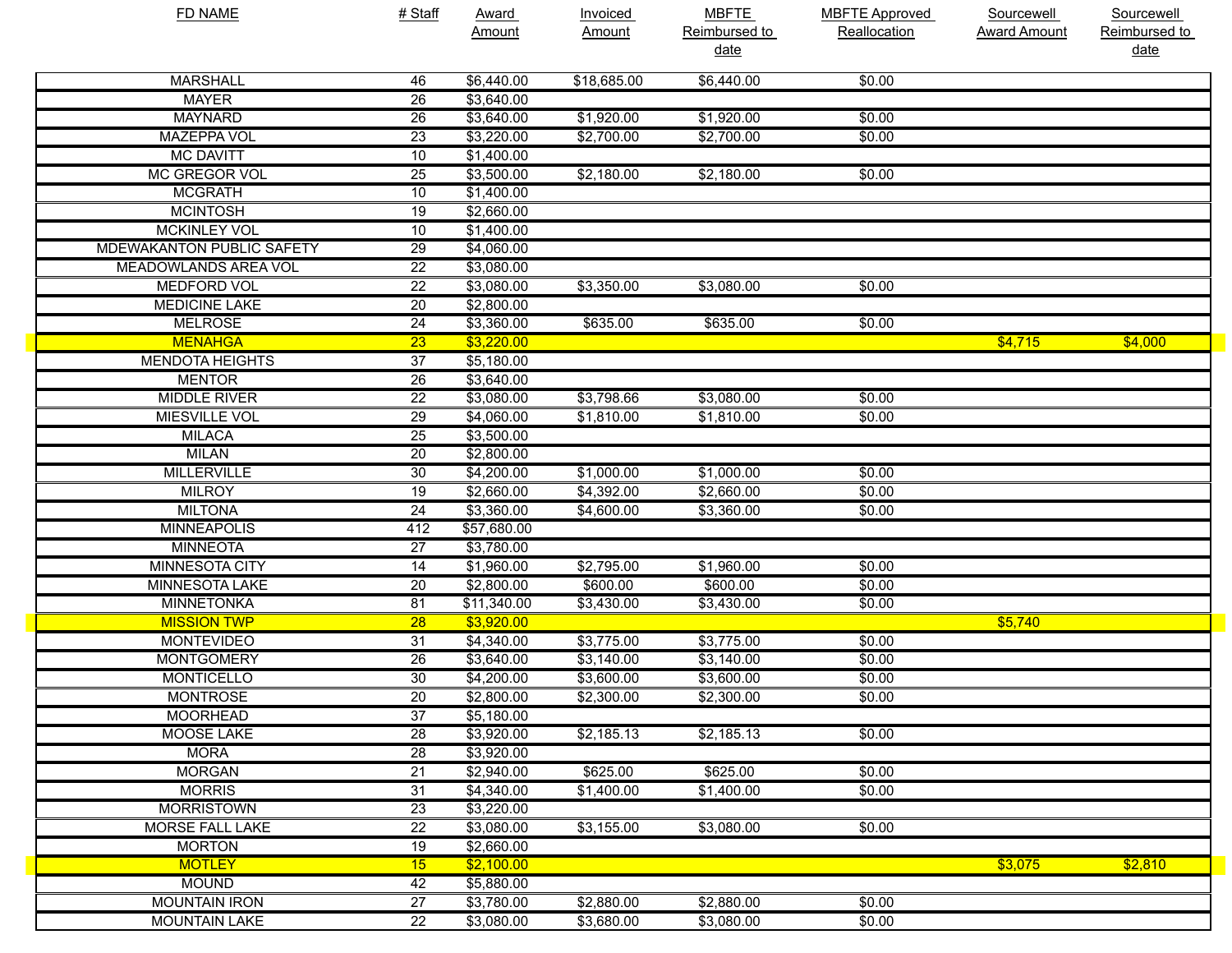| <b>FD NAME</b>                   | # Staff         | <b>Award</b> | <b>Invoiced</b> | <b>MBFTE</b>  | <b>MBFTE Approved</b> | <b>Sourcewell</b>   | Sourcewell    |
|----------------------------------|-----------------|--------------|-----------------|---------------|-----------------------|---------------------|---------------|
|                                  |                 | Amount       | <b>Amount</b>   | Reimbursed to | Reallocation          | <b>Award Amount</b> | Reimbursed to |
|                                  |                 |              |                 | <u>date</u>   |                       |                     | <u>date</u>   |
| <b>MARSHALL</b>                  | 46              | \$6,440.00   | \$18,685.00     | \$6,440.00    | \$0.00                |                     |               |
| <b>MAYER</b>                     | $\overline{26}$ | \$3,640.00   |                 |               |                       |                     |               |
| <b>MAYNARD</b>                   | 26              | \$3,640.00   | \$1,920.00      | \$1,920.00    | \$0.00                |                     |               |
| <b>MAZEPPA VOL</b>               | $\overline{23}$ | \$3,220.00   | \$2,700.00      | \$2,700.00    | \$0.00                |                     |               |
| <b>MC DAVITT</b>                 | 10              | \$1,400.00   |                 |               |                       |                     |               |
| MC GREGOR VOL                    | $\overline{25}$ | \$3,500.00   | \$2,180.00      | \$2,180.00    | \$0.00                |                     |               |
| <b>MCGRATH</b>                   | 10              | \$1,400.00   |                 |               |                       |                     |               |
| <b>MCINTOSH</b>                  | $\overline{19}$ | \$2,660.00   |                 |               |                       |                     |               |
| <b>MCKINLEY VOL</b>              | 10              | \$1,400.00   |                 |               |                       |                     |               |
| <b>MDEWAKANTON PUBLIC SAFETY</b> | $\overline{29}$ | \$4,060.00   |                 |               |                       |                     |               |
| MEADOWLANDS AREA VOL             | $\overline{22}$ | \$3,080.00   |                 |               |                       |                     |               |
| <b>MEDFORD VOL</b>               | $\overline{22}$ | \$3,080.00   | \$3,350.00      | \$3,080.00    | \$0.00                |                     |               |
| <b>MEDICINE LAKE</b>             | $\overline{20}$ | \$2,800.00   |                 |               |                       |                     |               |
| <b>MELROSE</b>                   | $\overline{24}$ | \$3,360.00   | \$635.00        | \$635.00      | \$0.00                |                     |               |
| <b>MENAHGA</b>                   | $\overline{23}$ | \$3,220.00   |                 |               |                       | \$4,715             | \$4,000       |
| <b>MENDOTA HEIGHTS</b>           | $\overline{37}$ | \$5,180.00   |                 |               |                       |                     |               |
| <b>MENTOR</b>                    | $\overline{26}$ | \$3,640.00   |                 |               |                       |                     |               |
| <b>MIDDLE RIVER</b>              | $\overline{22}$ | \$3,080.00   | \$3,798.66      | \$3,080.00    | \$0.00                |                     |               |
| <b>MIESVILLE VOL</b>             | $\overline{29}$ | \$4,060.00   | \$1,810.00      | \$1,810.00    | \$0.00                |                     |               |
| <b>MILACA</b>                    | $\overline{25}$ | \$3,500.00   |                 |               |                       |                     |               |
| <b>MILAN</b>                     | $\overline{20}$ | \$2,800.00   |                 |               |                       |                     |               |
| <b>MILLERVILLE</b>               | 30              | \$4,200.00   | \$1,000.00      | \$1,000.00    | \$0.00                |                     |               |
| <b>MILROY</b>                    | $\overline{19}$ | \$2,660.00   | \$4,392.00      | \$2,660.00    | \$0.00                |                     |               |
| <b>MILTONA</b>                   | $\overline{24}$ | \$3,360.00   | \$4,600.00      | \$3,360.00    | \$0.00                |                     |               |
| <b>MINNEAPOLIS</b>               | 412             | \$57,680.00  |                 |               |                       |                     |               |
| <b>MINNEOTA</b>                  | $\overline{27}$ | \$3,780.00   |                 |               |                       |                     |               |
| <b>MINNESOTA CITY</b>            | $\overline{14}$ | \$1,960.00   | \$2,795.00      | \$1,960.00    | \$0.00                |                     |               |
| <b>MINNESOTA LAKE</b>            | $\overline{20}$ | \$2,800.00   | \$600.00        | \$600.00      | \$0.00                |                     |               |
| <b>MINNETONKA</b>                | 81              | \$11,340.00  | \$3,430.00      | \$3,430.00    | \$0.00                |                     |               |
| <b>MISSION TWP</b>               | $\overline{28}$ | \$3,920.00   |                 |               |                       | \$5,740             |               |
| <b>MONTEVIDEO</b>                | $\overline{31}$ | \$4,340.00   | \$3,775.00      | \$3,775.00    | \$0.00                |                     |               |
| <b>MONTGOMERY</b>                | 26              | \$3,640.00   | \$3,140.00      | \$3,140.00    | \$0.00                |                     |               |
| <b>MONTICELLO</b>                | 30              | \$4,200.00   | \$3,600.00      | \$3,600.00    | \$0.00                |                     |               |
| <b>MONTROSE</b>                  | $\overline{20}$ | \$2,800.00   | \$2,300.00      | \$2,300.00    | \$0.00                |                     |               |
| <b>MOORHEAD</b>                  | $\overline{37}$ | \$5,180.00   |                 |               |                       |                     |               |
| <b>MOOSE LAKE</b>                | 28              | \$3,920.00   | \$2,185.13      | \$2,185.13    | \$0.00                |                     |               |
| <b>MORA</b>                      | $\overline{28}$ | \$3,920.00   |                 |               |                       |                     |               |
| <b>MORGAN</b>                    | $\overline{21}$ | \$2,940.00   | \$625.00        | \$625.00      | \$0.00                |                     |               |
| <b>MORRIS</b>                    | $\overline{31}$ | \$4,340.00   | \$1,400.00      | \$1,400.00    | \$0.00                |                     |               |
| <b>MORRISTOWN</b>                | $\overline{23}$ | \$3,220.00   |                 |               |                       |                     |               |
| <b>MORSE FALL LAKE</b>           | $\overline{22}$ | \$3,080.00   | \$3,155.00      | \$3,080.00    | \$0.00                |                     |               |
| <b>MORTON</b>                    | 19              | \$2,660.00   |                 |               |                       |                     |               |
| <b>MOTLEY</b>                    | 15              | \$2,100.00   |                 |               |                       | \$3,075             | \$2,810       |
| <b>MOUND</b>                     | 42              | \$5,880.00   |                 |               |                       |                     |               |
| <b>MOUNTAIN IRON</b>             | $\overline{27}$ | \$3,780.00   | \$2,880.00      | \$2,880.00    | \$0.00                |                     |               |
| <b>MOUNTAIN LAKE</b>             | $\overline{22}$ | \$3,080.00   | \$3,680.00      | \$3,080.00    | \$0.00                |                     |               |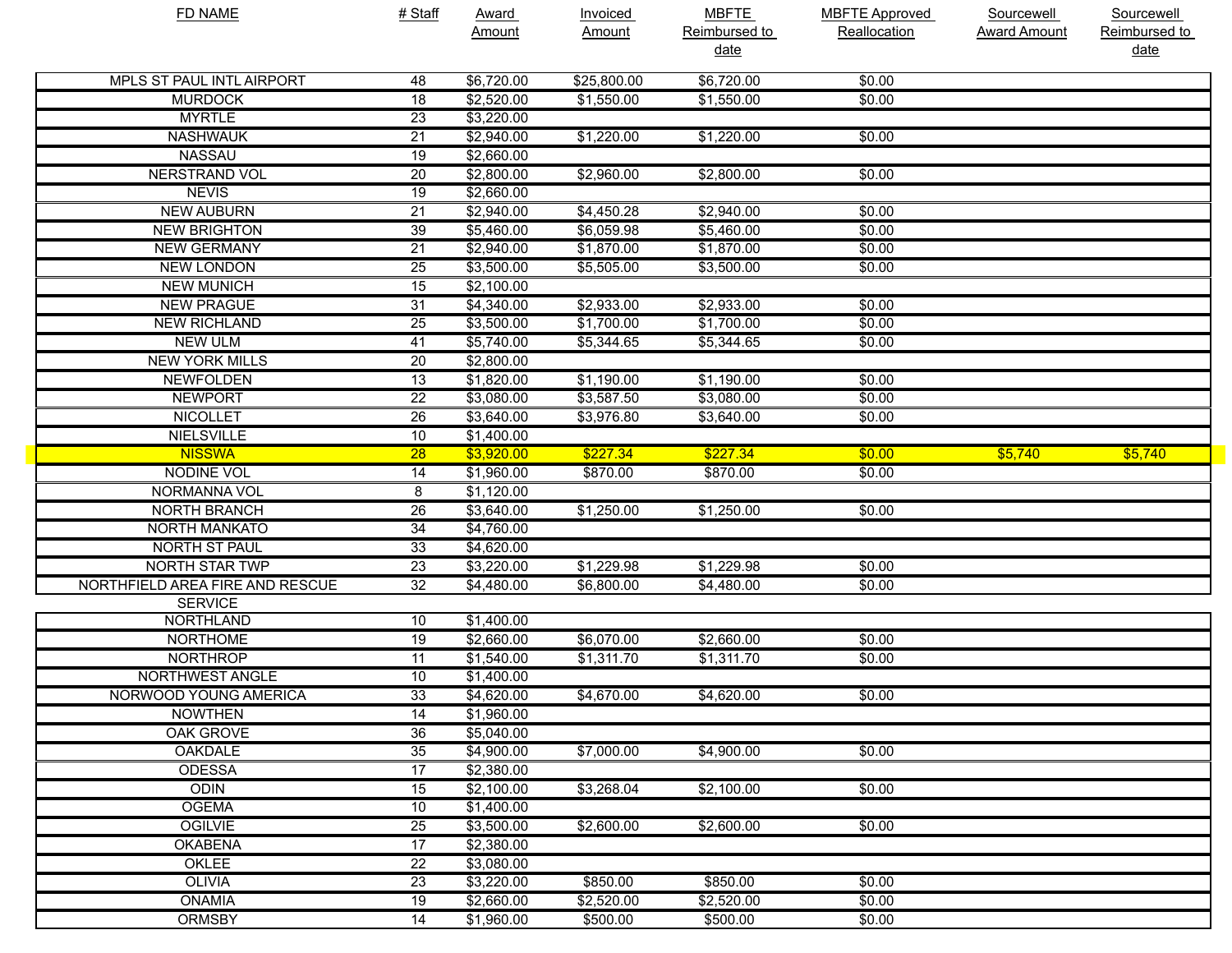| <b>FD NAME</b>                  | # Staff | Award      | <b>Invoiced</b> | <b>MBFTE</b>  | <b>MBFTE Approved</b> | <b>Sourcewell</b>   | Sourcewell    |
|---------------------------------|---------|------------|-----------------|---------------|-----------------------|---------------------|---------------|
|                                 |         | Amount     | <b>Amount</b>   | Reimbursed to | Reallocation          | <b>Award Amount</b> | Reimbursed to |
|                                 |         |            |                 | <u>date</u>   |                       |                     | <u>date</u>   |
| MPLS ST PAUL INTL AIRPORT       | 48      | \$6,720.00 | \$25,800.00     | \$6,720.00    | \$0.00                |                     |               |
| <b>MURDOCK</b>                  | 18      | \$2,520.00 | \$1,550.00      | \$1,550.00    | \$0.00                |                     |               |
| <b>MYRTLE</b>                   | 23      | \$3,220.00 |                 |               |                       |                     |               |
| <b>NASHWAUK</b>                 | 21      | \$2,940.00 | \$1,220.00      | \$1,220.00    | \$0.00                |                     |               |
| <b>NASSAU</b>                   | 19      | \$2,660.00 |                 |               |                       |                     |               |
| <b>NERSTRAND VOL</b>            | 20      | \$2,800.00 | \$2,960.00      | \$2,800.00    | \$0.00                |                     |               |
| <b>NEVIS</b>                    | 19      | \$2,660.00 |                 |               |                       |                     |               |
| <b>NEW AUBURN</b>               | 21      | \$2,940.00 | \$4,450.28      | \$2,940.00    | \$0.00                |                     |               |
| <b>NEW BRIGHTON</b>             | 39      | \$5,460.00 | \$6,059.98      | \$5,460.00    | \$0.00                |                     |               |
| <b>NEW GERMANY</b>              | 21      | \$2,940.00 | \$1,870.00      | \$1,870.00    | \$0.00                |                     |               |
| <b>NEW LONDON</b>               | 25      | \$3,500.00 | \$5,505.00      | \$3,500.00    | \$0.00                |                     |               |
| <b>NEW MUNICH</b>               | 15      | \$2,100.00 |                 |               |                       |                     |               |
| <b>NEW PRAGUE</b>               | 31      | \$4,340.00 | \$2,933.00      | \$2,933.00    | \$0.00                |                     |               |
| <b>NEW RICHLAND</b>             | 25      | \$3,500.00 | \$1,700.00      | \$1,700.00    | \$0.00                |                     |               |
| <b>NEW ULM</b>                  | 41      | \$5,740.00 | \$5,344.65      | \$5,344.65    | \$0.00                |                     |               |
| <b>NEW YORK MILLS</b>           | 20      | \$2,800.00 |                 |               |                       |                     |               |
| <b>NEWFOLDEN</b>                | 13      | \$1,820.00 | \$1,190.00      | \$1,190.00    | \$0.00                |                     |               |
| <b>NEWPORT</b>                  | 22      | \$3,080.00 | \$3,587.50      | \$3,080.00    | \$0.00                |                     |               |
| <b>NICOLLET</b>                 | 26      | \$3,640.00 | \$3,976.80      | \$3,640.00    | \$0.00                |                     |               |
| <b>NIELSVILLE</b>               | 10      | \$1,400.00 |                 |               |                       |                     |               |
| <b>NISSWA</b>                   | 28      | \$3,920.00 | \$227.34        | \$227.34      | \$0.00                | \$5,740             | \$5,740       |
| <b>NODINE VOL</b>               | 14      | \$1,960.00 | \$870.00        | \$870.00      | \$0.00                |                     |               |
| NORMANNA VOL                    | 8       | \$1,120.00 |                 |               |                       |                     |               |
| <b>NORTH BRANCH</b>             | 26      | \$3,640.00 | \$1,250.00      | \$1,250.00    | \$0.00                |                     |               |
| <b>NORTH MANKATO</b>            | 34      | \$4,760.00 |                 |               |                       |                     |               |
| <b>NORTH ST PAUL</b>            | 33      | \$4,620.00 |                 |               |                       |                     |               |
| <b>NORTH STAR TWP</b>           | 23      | \$3,220.00 | \$1,229.98      | \$1,229.98    | \$0.00                |                     |               |
| NORTHFIELD AREA FIRE AND RESCUE | 32      | \$4,480.00 | \$6,800.00      | \$4,480.00    | \$0.00                |                     |               |
| <b>SERVICE</b>                  |         |            |                 |               |                       |                     |               |
| <b>NORTHLAND</b>                | 10      | \$1,400.00 |                 |               |                       |                     |               |
| <b>NORTHOME</b>                 | 19      | \$2,660.00 | \$6,070.00      | \$2,660.00    | \$0.00                |                     |               |
| <b>NORTHROP</b>                 | 11      | \$1,540.00 | \$1,311.70      | \$1,311.70    | \$0.00                |                     |               |
| NORTHWEST ANGLE                 | 10      | \$1,400.00 |                 |               |                       |                     |               |
| NORWOOD YOUNG AMERICA           | 33      | \$4,620.00 | \$4,670.00      | \$4,620.00    | \$0.00                |                     |               |
| <b>NOWTHEN</b>                  | 14      | \$1,960.00 |                 |               |                       |                     |               |
| OAK GROVE                       | 36      | \$5,040.00 |                 |               |                       |                     |               |
| <b>OAKDALE</b>                  | 35      | \$4,900.00 | \$7,000.00      | \$4,900.00    | \$0.00                |                     |               |
| <b>ODESSA</b>                   | 17      | \$2,380.00 |                 |               |                       |                     |               |
| <b>ODIN</b>                     | 15      | \$2,100.00 | \$3,268.04      | \$2,100.00    | \$0.00                |                     |               |
| <b>OGEMA</b>                    | 10      | \$1,400.00 |                 |               |                       |                     |               |
| <b>OGILVIE</b>                  | 25      | \$3,500.00 | \$2,600.00      | \$2,600.00    | \$0.00                |                     |               |
| <b>OKABENA</b>                  | 17      | \$2,380.00 |                 |               |                       |                     |               |
| OKLEE                           | 22      | \$3,080.00 |                 |               |                       |                     |               |
| <b>OLIVIA</b>                   | 23      | \$3,220.00 | \$850.00        | \$850.00      | \$0.00                |                     |               |
| <b>ONAMIA</b>                   | 19      | \$2,660.00 | \$2,520.00      | \$2,520.00    | \$0.00                |                     |               |
| <b>ORMSBY</b>                   | 14      | \$1,960.00 | \$500.00        | \$500.00      | \$0.00                |                     |               |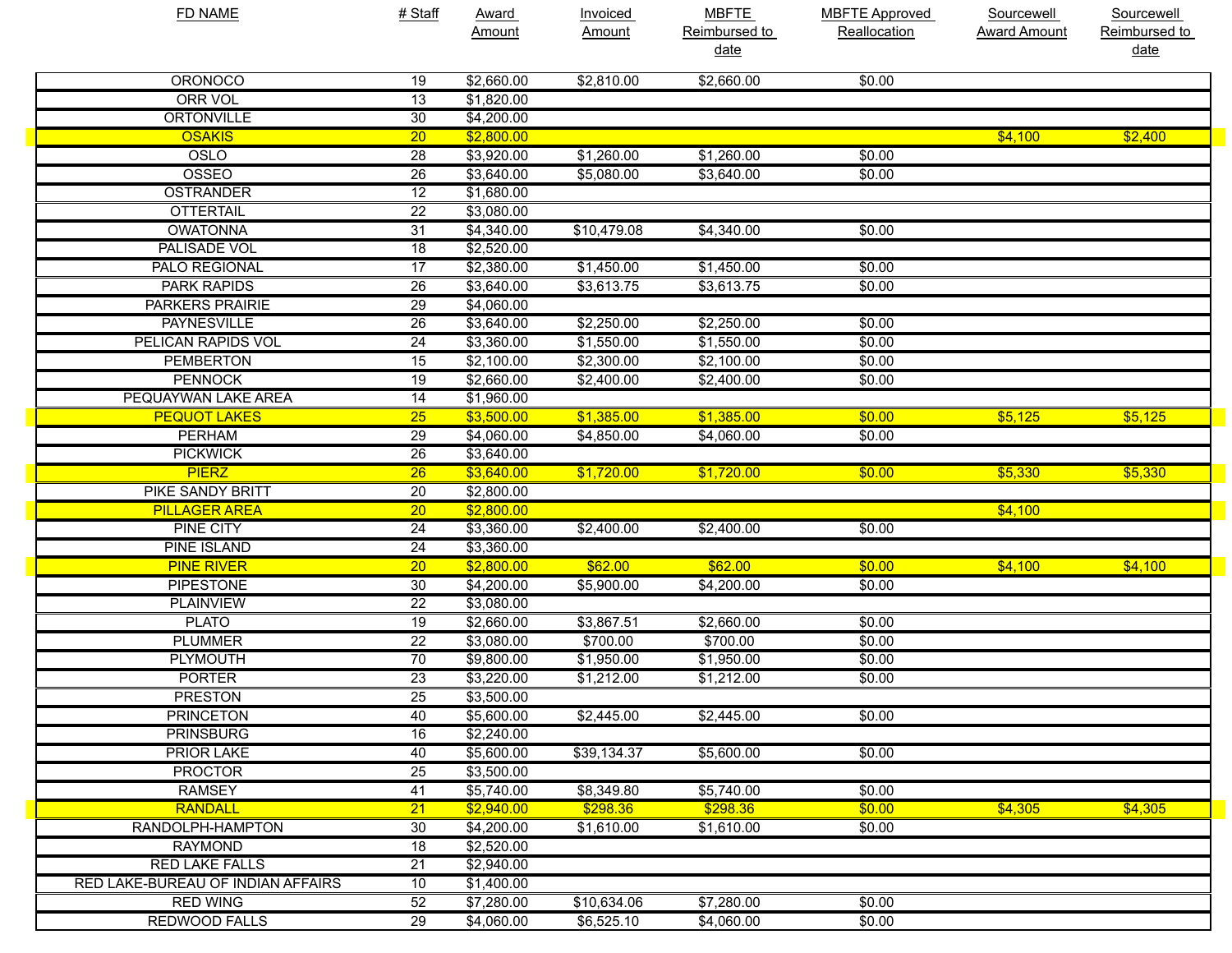| <b>FD NAME</b>                    | # Staff         | <b>Award</b>       | Invoiced    | <b>MBFTE</b>  | <b>MBFTE Approved</b> | Sourcewell          | Sourcewell    |
|-----------------------------------|-----------------|--------------------|-------------|---------------|-----------------------|---------------------|---------------|
|                                   |                 | Amount             | Amount      | Reimbursed to | Reallocation          | <b>Award Amount</b> | Reimbursed to |
|                                   |                 |                    |             | <u>date</u>   |                       |                     | date          |
| <b>ORONOCO</b>                    | 19              | \$2,660.00         | \$2,810.00  | \$2,660.00    | \$0.00                |                     |               |
| <b>ORR VOL</b>                    | $\overline{13}$ | \$1,820.00         |             |               |                       |                     |               |
| <b>ORTONVILLE</b>                 | 30              | \$4,200.00         |             |               |                       |                     |               |
| <b>OSAKIS</b>                     | $\overline{20}$ | \$2,800.00         |             |               |                       | \$4,100             | \$2,400       |
| OSLO                              | $\overline{28}$ | \$3,920.00         | \$1,260.00  | \$1,260.00    | \$0.00                |                     |               |
| OSSEO                             | $\overline{26}$ | \$3,640.00         | \$5,080.00  | \$3,640.00    | \$0.00                |                     |               |
| <b>OSTRANDER</b>                  | $\overline{12}$ | \$1,680.00         |             |               |                       |                     |               |
| <b>OTTERTAIL</b>                  | $\overline{22}$ | \$3,080.00         |             |               |                       |                     |               |
| <b>OWATONNA</b>                   | $\overline{31}$ | \$4,340.00         | \$10,479.08 | \$4,340.00    | \$0.00                |                     |               |
| <b>PALISADE VOL</b>               | $\overline{18}$ | \$2,520.00         |             |               |                       |                     |               |
| PALO REGIONAL                     | $\overline{17}$ | \$2,380.00         | \$1,450.00  | \$1,450.00    | \$0.00                |                     |               |
| <b>PARK RAPIDS</b>                | $\overline{26}$ | \$3,640.00         | \$3,613.75  | \$3,613.75    | \$0.00                |                     |               |
| <b>PARKERS PRAIRIE</b>            | 29              | \$4,060.00         |             |               |                       |                     |               |
| <b>PAYNESVILLE</b>                | $\overline{26}$ | \$3,640.00         | \$2,250.00  | \$2,250.00    | \$0.00                |                     |               |
| PELICAN RAPIDS VOL                | $\overline{24}$ | \$3,360.00         | \$1,550.00  | \$1,550.00    | \$0.00                |                     |               |
| <b>PEMBERTON</b>                  | 15              | \$2,100.00         | \$2,300.00  | \$2,100.00    | \$0.00                |                     |               |
| <b>PENNOCK</b>                    | $\overline{19}$ | \$2,660.00         | \$2,400.00  | \$2,400.00    | \$0.00                |                     |               |
| PEQUAYWAN LAKE AREA               | $\overline{14}$ | \$1,960.00         |             |               |                       |                     |               |
| <b>PEQUOT LAKES</b>               | $\overline{25}$ | \$3,500.00         | \$1,385.00  | \$1,385.00    | \$0.00                | \$5,125             | \$5,125       |
| <b>PERHAM</b>                     | $\overline{29}$ | \$4,060.00         | \$4,850.00  | \$4,060.00    | \$0.00                |                     |               |
| <b>PICKWICK</b>                   | $\overline{26}$ | \$3,640.00         |             |               |                       |                     |               |
| <b>PIERZ</b>                      | $\overline{26}$ | \$3,640.00         | \$1,720.00  | \$1,720.00    | \$0.00                | \$5,330             | \$5,330       |
| <b>PIKE SANDY BRITT</b>           | $\overline{20}$ | \$2,800.00         |             |               |                       |                     |               |
| <b>PILLAGER AREA</b>              | $\overline{20}$ | \$2,800.00         |             |               |                       | \$4,100             |               |
| <b>PINE CITY</b>                  | $\overline{24}$ | \$3,360.00         | \$2,400.00  | \$2,400.00    | \$0.00                |                     |               |
| <b>PINE ISLAND</b>                | $\overline{24}$ | \$3,360.00         |             |               |                       |                     |               |
| <b>PINE RIVER</b>                 | $\overline{20}$ | \$2,800.00         | \$62.00     | \$62.00       | \$0.00                | \$4,100             | \$4,100       |
| <b>PIPESTONE</b>                  | 30              | \$4,200.00         | \$5,900.00  | \$4,200.00    | \$0.00                |                     |               |
| <b>PLAINVIEW</b>                  | $\overline{22}$ | \$3,080.00         |             |               |                       |                     |               |
| <b>PLATO</b>                      | $\overline{19}$ | \$2,660.00         | \$3,867.51  | \$2,660.00    | \$0.00                |                     |               |
| <b>PLUMMER</b>                    | $\overline{22}$ | \$3,080.00         | \$700.00    | \$700.00      | \$0.00                |                     |               |
| <b>PLYMOUTH</b>                   | 70              | \$9,800.00         | \$1,950.00  | \$1,950.00    | \$0.00                |                     |               |
| <b>PORTER</b>                     | $\overline{23}$ | \$3,220.00         | \$1,212.00  | \$1,212.00    | \$0.00                |                     |               |
| <b>PRESTON</b>                    | 25              | \$3,500.00         |             |               |                       |                     |               |
| <b>PRINCETON</b>                  | 40              | \$5,600.00         | \$2,445.00  | \$2,445.00    | \$0.00                |                     |               |
| <b>PRINSBURG</b>                  | 16              | $\sqrt{$2,240.00}$ |             |               |                       |                     |               |
| <b>PRIOR LAKE</b>                 | 40              | \$5,600.00         | \$39,134.37 | \$5,600.00    | \$0.00                |                     |               |
| <b>PROCTOR</b>                    | $\overline{25}$ | \$3,500.00         |             |               |                       |                     |               |
| <b>RAMSEY</b>                     | 41              | \$5,740.00         | \$8,349.80  | \$5,740.00    | \$0.00                |                     |               |
| <b>RANDALL</b>                    | $\overline{21}$ | \$2,940.00         | \$298.36    | \$298.36      | \$0.00                | \$4,305             | \$4,305       |
| RANDOLPH-HAMPTON                  | 30              | \$4,200.00         | \$1,610.00  | \$1,610.00    | \$0.00                |                     |               |
| <b>RAYMOND</b>                    | 18              | \$2,520.00         |             |               |                       |                     |               |
| <b>RED LAKE FALLS</b>             | $\overline{21}$ | \$2,940.00         |             |               |                       |                     |               |
| RED LAKE-BUREAU OF INDIAN AFFAIRS | 10              | \$1,400.00         |             |               |                       |                     |               |
| <b>RED WING</b>                   | 52              | \$7,280.00         | \$10,634.06 | \$7,280.00    | \$0.00                |                     |               |
| <b>REDWOOD FALLS</b>              | $\overline{29}$ | \$4,060.00         | \$6,525.10  | \$4,060.00    | \$0.00                |                     |               |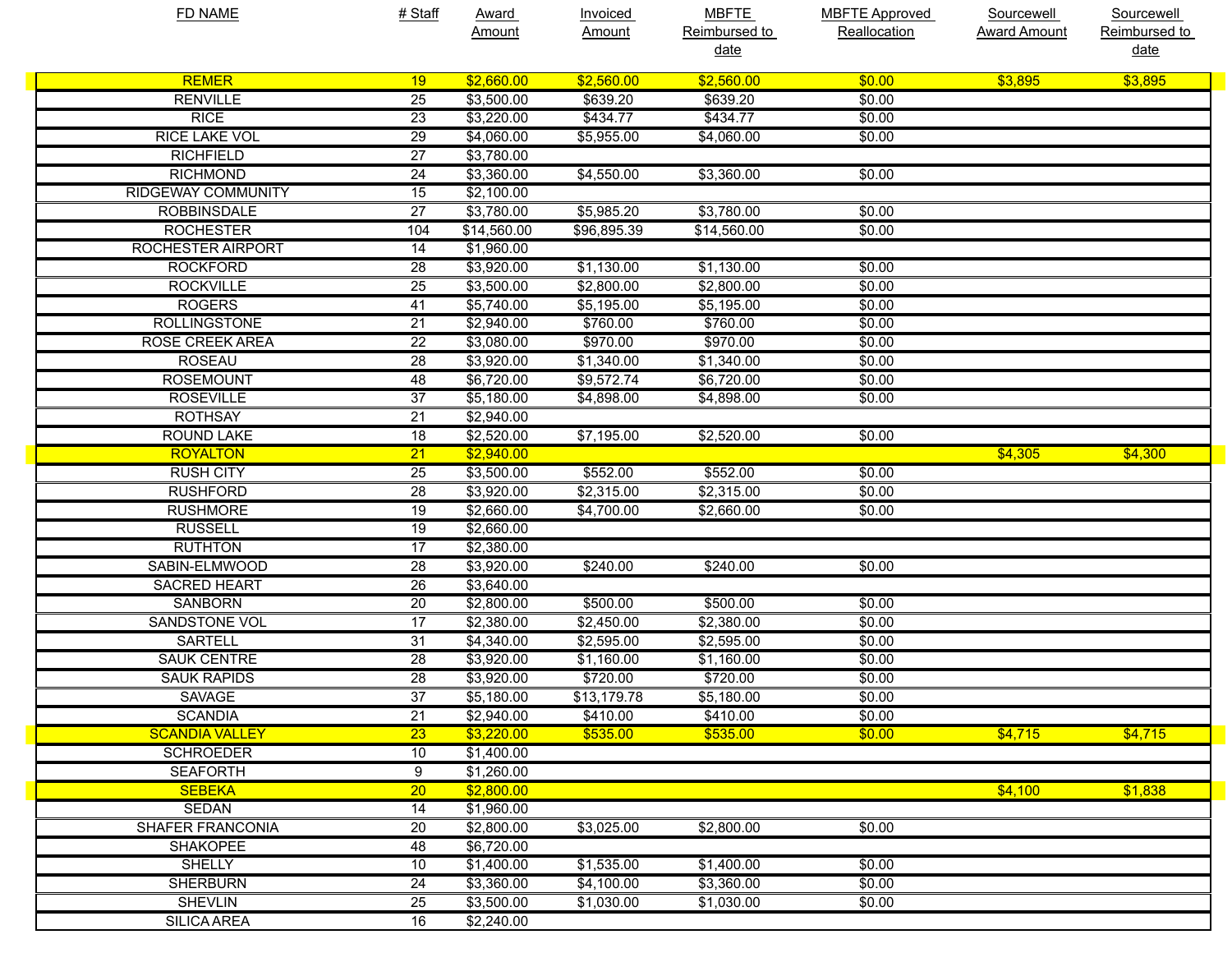| Reimbursed to<br>Reimbursed to<br>Reallocation<br><b>Award Amount</b><br>Amount<br><u>Amount</u><br>date<br><u>date</u><br><b>REMER</b><br>\$2,660.00<br>\$2,560.00<br>\$2,560.00<br>\$3,895<br>\$3,895<br>19<br>\$0.00<br><b>RENVILLE</b><br>25<br>\$3,500.00<br>\$639.20<br>\$639.20<br>\$0.00<br>\$434.77<br>\$434.77<br><b>RICE</b><br>23<br>\$3,220.00<br>\$0.00<br><b>RICE LAKE VOL</b><br>29<br>\$4,060.00<br>\$5,955.00<br>\$4,060.00<br>\$0.00<br><b>RICHFIELD</b><br>27<br>\$3,780.00<br><b>RICHMOND</b><br>24<br>\$3,360.00<br>\$4,550.00<br>\$3,360.00<br>\$0.00<br><b>RIDGEWAY COMMUNITY</b><br>15<br>\$2,100.00<br>$\overline{27}$<br>\$5,985.20<br><b>ROBBINSDALE</b><br>\$3,780.00<br>\$3,780.00<br>\$0.00<br>\$96,895.39<br><b>ROCHESTER</b><br>104<br>\$14,560.00<br>\$14,560.00<br>\$0.00<br><b>ROCHESTER AIRPORT</b><br>\$1,960.00<br>14<br><b>ROCKFORD</b><br>28<br>\$3,920.00<br>\$1,130.00<br>\$1,130.00<br>\$0.00<br><b>ROCKVILLE</b><br>25<br>\$3,500.00<br>\$2,800.00<br>\$2,800.00<br>\$0.00<br><b>ROGERS</b><br>\$5,740.00<br>\$5,195.00<br>\$5,195.00<br>\$0.00<br>41<br><b>ROLLINGSTONE</b><br>21<br>\$2,940.00<br>\$760.00<br>\$760.00<br>\$0.00<br><b>ROSE CREEK AREA</b><br>\$970.00<br>22<br>\$3,080.00<br>\$970.00<br>\$0.00<br><b>ROSEAU</b><br>28<br>\$3,920.00<br>\$1,340.00<br>\$1,340.00<br>\$0.00<br><b>ROSEMOUNT</b><br>\$9,572.74<br>48<br>\$6,720.00<br>\$6,720.00<br>\$0.00<br><b>ROSEVILLE</b><br>37<br>\$5,180.00<br>\$4,898.00<br>\$4,898.00<br>\$0.00<br><b>ROTHSAY</b><br>21<br>\$2,940.00<br><b>ROUND LAKE</b><br>18<br>\$2,520.00<br>\$7,195.00<br>\$2,520.00<br>\$0.00<br><b>ROYALTON</b><br>\$2,940.00<br>\$4,305<br>\$4,300<br>21<br><b>RUSH CITY</b><br>\$552.00<br>\$552.00<br>25<br>\$3,500.00<br>\$0.00<br><b>RUSHFORD</b><br>\$2,315.00<br>\$2,315.00<br>28<br>\$3,920.00<br>\$0.00<br><b>RUSHMORE</b><br>19<br>\$2,660.00<br>\$4,700.00<br>\$2,660.00<br>\$0.00<br><b>RUSSELL</b><br>19<br>\$2,660.00<br><b>RUTHTON</b><br>17<br>\$2,380.00<br>SABIN-ELMWOOD<br>28<br>\$3,920.00<br>\$240.00<br>\$240.00<br>\$0.00<br><b>SACRED HEART</b><br>26<br>\$3,640.00<br><b>SANBORN</b><br>20<br>\$2,800.00<br>\$500.00<br>\$500.00<br>\$0.00<br><b>SANDSTONE VOL</b><br>\$2,450.00<br>17<br>\$2,380.00<br>\$2,380.00<br>\$0.00<br>\$2,595.00<br>\$2,595.00<br><b>SARTELL</b><br>31<br>\$4,340.00<br>\$0.00<br><b>SAUK CENTRE</b><br>28<br>\$3,920.00<br>\$1,160.00<br>\$1,160.00<br>\$0.00<br><b>SAUK RAPIDS</b><br>\$720.00<br>28<br>\$3,920.00<br>\$720.00<br>\$0.00<br>37<br>\$13,179.78<br><b>SAVAGE</b><br>\$5,180.00<br>\$5,180.00<br>\$0.00<br><b>SCANDIA</b><br>21<br>\$2,940.00<br>\$410.00<br>\$410.00<br>\$0.00<br><b>SCANDIA VALLEY</b><br>\$3,220.00<br>\$535.00<br>\$535.00<br>\$4,715<br>\$4,715<br>$\overline{23}$<br>\$0.00<br><b>SCHROEDER</b><br>10<br>\$1,400.00<br><b>SEAFORTH</b><br>9<br>\$1,260.00<br>\$1,838<br>\$4,100<br><b>SEBEKA</b><br>$\overline{20}$<br>\$2,800.00<br><b>SEDAN</b><br>14<br>\$1,960.00<br>\$3,025.00<br><b>SHAFER FRANCONIA</b><br>\$2,800.00<br>\$0.00<br>20<br>\$2,800.00<br><b>SHAKOPEE</b><br>\$6,720.00<br>48<br><b>SHELLY</b><br>\$1,535.00<br>10<br>\$1,400.00<br>\$1,400.00<br>\$0.00<br><b>SHERBURN</b><br>\$4,100.00<br>\$3,360.00<br>24<br>\$3,360.00<br>\$0.00<br><b>SHEVLIN</b><br>$\overline{25}$<br>\$1,030.00<br>\$1,030.00<br>\$3,500.00<br>\$0.00<br><b>SILICA AREA</b><br>16<br>\$2,240.00 | <b>FD NAME</b> | # Staff | Award | <b>Invoiced</b> | <b>MBFTE</b> | <b>MBFTE Approved</b> | <b>Sourcewell</b> | Sourcewell |
|---------------------------------------------------------------------------------------------------------------------------------------------------------------------------------------------------------------------------------------------------------------------------------------------------------------------------------------------------------------------------------------------------------------------------------------------------------------------------------------------------------------------------------------------------------------------------------------------------------------------------------------------------------------------------------------------------------------------------------------------------------------------------------------------------------------------------------------------------------------------------------------------------------------------------------------------------------------------------------------------------------------------------------------------------------------------------------------------------------------------------------------------------------------------------------------------------------------------------------------------------------------------------------------------------------------------------------------------------------------------------------------------------------------------------------------------------------------------------------------------------------------------------------------------------------------------------------------------------------------------------------------------------------------------------------------------------------------------------------------------------------------------------------------------------------------------------------------------------------------------------------------------------------------------------------------------------------------------------------------------------------------------------------------------------------------------------------------------------------------------------------------------------------------------------------------------------------------------------------------------------------------------------------------------------------------------------------------------------------------------------------------------------------------------------------------------------------------------------------------------------------------------------------------------------------------------------------------------------------------------------------------------------------------------------------------------------------------------------------------------------------------------------------------------------------------------------------------------------------------------------------------------------------------------------------------------------------------------------------------------------------------------------------------------------------------------------------------------------------------------------------------------------------------------------------------------------------------------------------------------------------------------------------------------------------------------------------------------------------------------------------------------------------------------|----------------|---------|-------|-----------------|--------------|-----------------------|-------------------|------------|
|                                                                                                                                                                                                                                                                                                                                                                                                                                                                                                                                                                                                                                                                                                                                                                                                                                                                                                                                                                                                                                                                                                                                                                                                                                                                                                                                                                                                                                                                                                                                                                                                                                                                                                                                                                                                                                                                                                                                                                                                                                                                                                                                                                                                                                                                                                                                                                                                                                                                                                                                                                                                                                                                                                                                                                                                                                                                                                                                                                                                                                                                                                                                                                                                                                                                                                                                                                                                                     |                |         |       |                 |              |                       |                   |            |
|                                                                                                                                                                                                                                                                                                                                                                                                                                                                                                                                                                                                                                                                                                                                                                                                                                                                                                                                                                                                                                                                                                                                                                                                                                                                                                                                                                                                                                                                                                                                                                                                                                                                                                                                                                                                                                                                                                                                                                                                                                                                                                                                                                                                                                                                                                                                                                                                                                                                                                                                                                                                                                                                                                                                                                                                                                                                                                                                                                                                                                                                                                                                                                                                                                                                                                                                                                                                                     |                |         |       |                 |              |                       |                   |            |
|                                                                                                                                                                                                                                                                                                                                                                                                                                                                                                                                                                                                                                                                                                                                                                                                                                                                                                                                                                                                                                                                                                                                                                                                                                                                                                                                                                                                                                                                                                                                                                                                                                                                                                                                                                                                                                                                                                                                                                                                                                                                                                                                                                                                                                                                                                                                                                                                                                                                                                                                                                                                                                                                                                                                                                                                                                                                                                                                                                                                                                                                                                                                                                                                                                                                                                                                                                                                                     |                |         |       |                 |              |                       |                   |            |
|                                                                                                                                                                                                                                                                                                                                                                                                                                                                                                                                                                                                                                                                                                                                                                                                                                                                                                                                                                                                                                                                                                                                                                                                                                                                                                                                                                                                                                                                                                                                                                                                                                                                                                                                                                                                                                                                                                                                                                                                                                                                                                                                                                                                                                                                                                                                                                                                                                                                                                                                                                                                                                                                                                                                                                                                                                                                                                                                                                                                                                                                                                                                                                                                                                                                                                                                                                                                                     |                |         |       |                 |              |                       |                   |            |
|                                                                                                                                                                                                                                                                                                                                                                                                                                                                                                                                                                                                                                                                                                                                                                                                                                                                                                                                                                                                                                                                                                                                                                                                                                                                                                                                                                                                                                                                                                                                                                                                                                                                                                                                                                                                                                                                                                                                                                                                                                                                                                                                                                                                                                                                                                                                                                                                                                                                                                                                                                                                                                                                                                                                                                                                                                                                                                                                                                                                                                                                                                                                                                                                                                                                                                                                                                                                                     |                |         |       |                 |              |                       |                   |            |
|                                                                                                                                                                                                                                                                                                                                                                                                                                                                                                                                                                                                                                                                                                                                                                                                                                                                                                                                                                                                                                                                                                                                                                                                                                                                                                                                                                                                                                                                                                                                                                                                                                                                                                                                                                                                                                                                                                                                                                                                                                                                                                                                                                                                                                                                                                                                                                                                                                                                                                                                                                                                                                                                                                                                                                                                                                                                                                                                                                                                                                                                                                                                                                                                                                                                                                                                                                                                                     |                |         |       |                 |              |                       |                   |            |
|                                                                                                                                                                                                                                                                                                                                                                                                                                                                                                                                                                                                                                                                                                                                                                                                                                                                                                                                                                                                                                                                                                                                                                                                                                                                                                                                                                                                                                                                                                                                                                                                                                                                                                                                                                                                                                                                                                                                                                                                                                                                                                                                                                                                                                                                                                                                                                                                                                                                                                                                                                                                                                                                                                                                                                                                                                                                                                                                                                                                                                                                                                                                                                                                                                                                                                                                                                                                                     |                |         |       |                 |              |                       |                   |            |
|                                                                                                                                                                                                                                                                                                                                                                                                                                                                                                                                                                                                                                                                                                                                                                                                                                                                                                                                                                                                                                                                                                                                                                                                                                                                                                                                                                                                                                                                                                                                                                                                                                                                                                                                                                                                                                                                                                                                                                                                                                                                                                                                                                                                                                                                                                                                                                                                                                                                                                                                                                                                                                                                                                                                                                                                                                                                                                                                                                                                                                                                                                                                                                                                                                                                                                                                                                                                                     |                |         |       |                 |              |                       |                   |            |
|                                                                                                                                                                                                                                                                                                                                                                                                                                                                                                                                                                                                                                                                                                                                                                                                                                                                                                                                                                                                                                                                                                                                                                                                                                                                                                                                                                                                                                                                                                                                                                                                                                                                                                                                                                                                                                                                                                                                                                                                                                                                                                                                                                                                                                                                                                                                                                                                                                                                                                                                                                                                                                                                                                                                                                                                                                                                                                                                                                                                                                                                                                                                                                                                                                                                                                                                                                                                                     |                |         |       |                 |              |                       |                   |            |
|                                                                                                                                                                                                                                                                                                                                                                                                                                                                                                                                                                                                                                                                                                                                                                                                                                                                                                                                                                                                                                                                                                                                                                                                                                                                                                                                                                                                                                                                                                                                                                                                                                                                                                                                                                                                                                                                                                                                                                                                                                                                                                                                                                                                                                                                                                                                                                                                                                                                                                                                                                                                                                                                                                                                                                                                                                                                                                                                                                                                                                                                                                                                                                                                                                                                                                                                                                                                                     |                |         |       |                 |              |                       |                   |            |
|                                                                                                                                                                                                                                                                                                                                                                                                                                                                                                                                                                                                                                                                                                                                                                                                                                                                                                                                                                                                                                                                                                                                                                                                                                                                                                                                                                                                                                                                                                                                                                                                                                                                                                                                                                                                                                                                                                                                                                                                                                                                                                                                                                                                                                                                                                                                                                                                                                                                                                                                                                                                                                                                                                                                                                                                                                                                                                                                                                                                                                                                                                                                                                                                                                                                                                                                                                                                                     |                |         |       |                 |              |                       |                   |            |
|                                                                                                                                                                                                                                                                                                                                                                                                                                                                                                                                                                                                                                                                                                                                                                                                                                                                                                                                                                                                                                                                                                                                                                                                                                                                                                                                                                                                                                                                                                                                                                                                                                                                                                                                                                                                                                                                                                                                                                                                                                                                                                                                                                                                                                                                                                                                                                                                                                                                                                                                                                                                                                                                                                                                                                                                                                                                                                                                                                                                                                                                                                                                                                                                                                                                                                                                                                                                                     |                |         |       |                 |              |                       |                   |            |
|                                                                                                                                                                                                                                                                                                                                                                                                                                                                                                                                                                                                                                                                                                                                                                                                                                                                                                                                                                                                                                                                                                                                                                                                                                                                                                                                                                                                                                                                                                                                                                                                                                                                                                                                                                                                                                                                                                                                                                                                                                                                                                                                                                                                                                                                                                                                                                                                                                                                                                                                                                                                                                                                                                                                                                                                                                                                                                                                                                                                                                                                                                                                                                                                                                                                                                                                                                                                                     |                |         |       |                 |              |                       |                   |            |
|                                                                                                                                                                                                                                                                                                                                                                                                                                                                                                                                                                                                                                                                                                                                                                                                                                                                                                                                                                                                                                                                                                                                                                                                                                                                                                                                                                                                                                                                                                                                                                                                                                                                                                                                                                                                                                                                                                                                                                                                                                                                                                                                                                                                                                                                                                                                                                                                                                                                                                                                                                                                                                                                                                                                                                                                                                                                                                                                                                                                                                                                                                                                                                                                                                                                                                                                                                                                                     |                |         |       |                 |              |                       |                   |            |
|                                                                                                                                                                                                                                                                                                                                                                                                                                                                                                                                                                                                                                                                                                                                                                                                                                                                                                                                                                                                                                                                                                                                                                                                                                                                                                                                                                                                                                                                                                                                                                                                                                                                                                                                                                                                                                                                                                                                                                                                                                                                                                                                                                                                                                                                                                                                                                                                                                                                                                                                                                                                                                                                                                                                                                                                                                                                                                                                                                                                                                                                                                                                                                                                                                                                                                                                                                                                                     |                |         |       |                 |              |                       |                   |            |
|                                                                                                                                                                                                                                                                                                                                                                                                                                                                                                                                                                                                                                                                                                                                                                                                                                                                                                                                                                                                                                                                                                                                                                                                                                                                                                                                                                                                                                                                                                                                                                                                                                                                                                                                                                                                                                                                                                                                                                                                                                                                                                                                                                                                                                                                                                                                                                                                                                                                                                                                                                                                                                                                                                                                                                                                                                                                                                                                                                                                                                                                                                                                                                                                                                                                                                                                                                                                                     |                |         |       |                 |              |                       |                   |            |
|                                                                                                                                                                                                                                                                                                                                                                                                                                                                                                                                                                                                                                                                                                                                                                                                                                                                                                                                                                                                                                                                                                                                                                                                                                                                                                                                                                                                                                                                                                                                                                                                                                                                                                                                                                                                                                                                                                                                                                                                                                                                                                                                                                                                                                                                                                                                                                                                                                                                                                                                                                                                                                                                                                                                                                                                                                                                                                                                                                                                                                                                                                                                                                                                                                                                                                                                                                                                                     |                |         |       |                 |              |                       |                   |            |
|                                                                                                                                                                                                                                                                                                                                                                                                                                                                                                                                                                                                                                                                                                                                                                                                                                                                                                                                                                                                                                                                                                                                                                                                                                                                                                                                                                                                                                                                                                                                                                                                                                                                                                                                                                                                                                                                                                                                                                                                                                                                                                                                                                                                                                                                                                                                                                                                                                                                                                                                                                                                                                                                                                                                                                                                                                                                                                                                                                                                                                                                                                                                                                                                                                                                                                                                                                                                                     |                |         |       |                 |              |                       |                   |            |
|                                                                                                                                                                                                                                                                                                                                                                                                                                                                                                                                                                                                                                                                                                                                                                                                                                                                                                                                                                                                                                                                                                                                                                                                                                                                                                                                                                                                                                                                                                                                                                                                                                                                                                                                                                                                                                                                                                                                                                                                                                                                                                                                                                                                                                                                                                                                                                                                                                                                                                                                                                                                                                                                                                                                                                                                                                                                                                                                                                                                                                                                                                                                                                                                                                                                                                                                                                                                                     |                |         |       |                 |              |                       |                   |            |
|                                                                                                                                                                                                                                                                                                                                                                                                                                                                                                                                                                                                                                                                                                                                                                                                                                                                                                                                                                                                                                                                                                                                                                                                                                                                                                                                                                                                                                                                                                                                                                                                                                                                                                                                                                                                                                                                                                                                                                                                                                                                                                                                                                                                                                                                                                                                                                                                                                                                                                                                                                                                                                                                                                                                                                                                                                                                                                                                                                                                                                                                                                                                                                                                                                                                                                                                                                                                                     |                |         |       |                 |              |                       |                   |            |
|                                                                                                                                                                                                                                                                                                                                                                                                                                                                                                                                                                                                                                                                                                                                                                                                                                                                                                                                                                                                                                                                                                                                                                                                                                                                                                                                                                                                                                                                                                                                                                                                                                                                                                                                                                                                                                                                                                                                                                                                                                                                                                                                                                                                                                                                                                                                                                                                                                                                                                                                                                                                                                                                                                                                                                                                                                                                                                                                                                                                                                                                                                                                                                                                                                                                                                                                                                                                                     |                |         |       |                 |              |                       |                   |            |
|                                                                                                                                                                                                                                                                                                                                                                                                                                                                                                                                                                                                                                                                                                                                                                                                                                                                                                                                                                                                                                                                                                                                                                                                                                                                                                                                                                                                                                                                                                                                                                                                                                                                                                                                                                                                                                                                                                                                                                                                                                                                                                                                                                                                                                                                                                                                                                                                                                                                                                                                                                                                                                                                                                                                                                                                                                                                                                                                                                                                                                                                                                                                                                                                                                                                                                                                                                                                                     |                |         |       |                 |              |                       |                   |            |
|                                                                                                                                                                                                                                                                                                                                                                                                                                                                                                                                                                                                                                                                                                                                                                                                                                                                                                                                                                                                                                                                                                                                                                                                                                                                                                                                                                                                                                                                                                                                                                                                                                                                                                                                                                                                                                                                                                                                                                                                                                                                                                                                                                                                                                                                                                                                                                                                                                                                                                                                                                                                                                                                                                                                                                                                                                                                                                                                                                                                                                                                                                                                                                                                                                                                                                                                                                                                                     |                |         |       |                 |              |                       |                   |            |
|                                                                                                                                                                                                                                                                                                                                                                                                                                                                                                                                                                                                                                                                                                                                                                                                                                                                                                                                                                                                                                                                                                                                                                                                                                                                                                                                                                                                                                                                                                                                                                                                                                                                                                                                                                                                                                                                                                                                                                                                                                                                                                                                                                                                                                                                                                                                                                                                                                                                                                                                                                                                                                                                                                                                                                                                                                                                                                                                                                                                                                                                                                                                                                                                                                                                                                                                                                                                                     |                |         |       |                 |              |                       |                   |            |
|                                                                                                                                                                                                                                                                                                                                                                                                                                                                                                                                                                                                                                                                                                                                                                                                                                                                                                                                                                                                                                                                                                                                                                                                                                                                                                                                                                                                                                                                                                                                                                                                                                                                                                                                                                                                                                                                                                                                                                                                                                                                                                                                                                                                                                                                                                                                                                                                                                                                                                                                                                                                                                                                                                                                                                                                                                                                                                                                                                                                                                                                                                                                                                                                                                                                                                                                                                                                                     |                |         |       |                 |              |                       |                   |            |
|                                                                                                                                                                                                                                                                                                                                                                                                                                                                                                                                                                                                                                                                                                                                                                                                                                                                                                                                                                                                                                                                                                                                                                                                                                                                                                                                                                                                                                                                                                                                                                                                                                                                                                                                                                                                                                                                                                                                                                                                                                                                                                                                                                                                                                                                                                                                                                                                                                                                                                                                                                                                                                                                                                                                                                                                                                                                                                                                                                                                                                                                                                                                                                                                                                                                                                                                                                                                                     |                |         |       |                 |              |                       |                   |            |
|                                                                                                                                                                                                                                                                                                                                                                                                                                                                                                                                                                                                                                                                                                                                                                                                                                                                                                                                                                                                                                                                                                                                                                                                                                                                                                                                                                                                                                                                                                                                                                                                                                                                                                                                                                                                                                                                                                                                                                                                                                                                                                                                                                                                                                                                                                                                                                                                                                                                                                                                                                                                                                                                                                                                                                                                                                                                                                                                                                                                                                                                                                                                                                                                                                                                                                                                                                                                                     |                |         |       |                 |              |                       |                   |            |
|                                                                                                                                                                                                                                                                                                                                                                                                                                                                                                                                                                                                                                                                                                                                                                                                                                                                                                                                                                                                                                                                                                                                                                                                                                                                                                                                                                                                                                                                                                                                                                                                                                                                                                                                                                                                                                                                                                                                                                                                                                                                                                                                                                                                                                                                                                                                                                                                                                                                                                                                                                                                                                                                                                                                                                                                                                                                                                                                                                                                                                                                                                                                                                                                                                                                                                                                                                                                                     |                |         |       |                 |              |                       |                   |            |
|                                                                                                                                                                                                                                                                                                                                                                                                                                                                                                                                                                                                                                                                                                                                                                                                                                                                                                                                                                                                                                                                                                                                                                                                                                                                                                                                                                                                                                                                                                                                                                                                                                                                                                                                                                                                                                                                                                                                                                                                                                                                                                                                                                                                                                                                                                                                                                                                                                                                                                                                                                                                                                                                                                                                                                                                                                                                                                                                                                                                                                                                                                                                                                                                                                                                                                                                                                                                                     |                |         |       |                 |              |                       |                   |            |
|                                                                                                                                                                                                                                                                                                                                                                                                                                                                                                                                                                                                                                                                                                                                                                                                                                                                                                                                                                                                                                                                                                                                                                                                                                                                                                                                                                                                                                                                                                                                                                                                                                                                                                                                                                                                                                                                                                                                                                                                                                                                                                                                                                                                                                                                                                                                                                                                                                                                                                                                                                                                                                                                                                                                                                                                                                                                                                                                                                                                                                                                                                                                                                                                                                                                                                                                                                                                                     |                |         |       |                 |              |                       |                   |            |
|                                                                                                                                                                                                                                                                                                                                                                                                                                                                                                                                                                                                                                                                                                                                                                                                                                                                                                                                                                                                                                                                                                                                                                                                                                                                                                                                                                                                                                                                                                                                                                                                                                                                                                                                                                                                                                                                                                                                                                                                                                                                                                                                                                                                                                                                                                                                                                                                                                                                                                                                                                                                                                                                                                                                                                                                                                                                                                                                                                                                                                                                                                                                                                                                                                                                                                                                                                                                                     |                |         |       |                 |              |                       |                   |            |
|                                                                                                                                                                                                                                                                                                                                                                                                                                                                                                                                                                                                                                                                                                                                                                                                                                                                                                                                                                                                                                                                                                                                                                                                                                                                                                                                                                                                                                                                                                                                                                                                                                                                                                                                                                                                                                                                                                                                                                                                                                                                                                                                                                                                                                                                                                                                                                                                                                                                                                                                                                                                                                                                                                                                                                                                                                                                                                                                                                                                                                                                                                                                                                                                                                                                                                                                                                                                                     |                |         |       |                 |              |                       |                   |            |
|                                                                                                                                                                                                                                                                                                                                                                                                                                                                                                                                                                                                                                                                                                                                                                                                                                                                                                                                                                                                                                                                                                                                                                                                                                                                                                                                                                                                                                                                                                                                                                                                                                                                                                                                                                                                                                                                                                                                                                                                                                                                                                                                                                                                                                                                                                                                                                                                                                                                                                                                                                                                                                                                                                                                                                                                                                                                                                                                                                                                                                                                                                                                                                                                                                                                                                                                                                                                                     |                |         |       |                 |              |                       |                   |            |
|                                                                                                                                                                                                                                                                                                                                                                                                                                                                                                                                                                                                                                                                                                                                                                                                                                                                                                                                                                                                                                                                                                                                                                                                                                                                                                                                                                                                                                                                                                                                                                                                                                                                                                                                                                                                                                                                                                                                                                                                                                                                                                                                                                                                                                                                                                                                                                                                                                                                                                                                                                                                                                                                                                                                                                                                                                                                                                                                                                                                                                                                                                                                                                                                                                                                                                                                                                                                                     |                |         |       |                 |              |                       |                   |            |
|                                                                                                                                                                                                                                                                                                                                                                                                                                                                                                                                                                                                                                                                                                                                                                                                                                                                                                                                                                                                                                                                                                                                                                                                                                                                                                                                                                                                                                                                                                                                                                                                                                                                                                                                                                                                                                                                                                                                                                                                                                                                                                                                                                                                                                                                                                                                                                                                                                                                                                                                                                                                                                                                                                                                                                                                                                                                                                                                                                                                                                                                                                                                                                                                                                                                                                                                                                                                                     |                |         |       |                 |              |                       |                   |            |
|                                                                                                                                                                                                                                                                                                                                                                                                                                                                                                                                                                                                                                                                                                                                                                                                                                                                                                                                                                                                                                                                                                                                                                                                                                                                                                                                                                                                                                                                                                                                                                                                                                                                                                                                                                                                                                                                                                                                                                                                                                                                                                                                                                                                                                                                                                                                                                                                                                                                                                                                                                                                                                                                                                                                                                                                                                                                                                                                                                                                                                                                                                                                                                                                                                                                                                                                                                                                                     |                |         |       |                 |              |                       |                   |            |
|                                                                                                                                                                                                                                                                                                                                                                                                                                                                                                                                                                                                                                                                                                                                                                                                                                                                                                                                                                                                                                                                                                                                                                                                                                                                                                                                                                                                                                                                                                                                                                                                                                                                                                                                                                                                                                                                                                                                                                                                                                                                                                                                                                                                                                                                                                                                                                                                                                                                                                                                                                                                                                                                                                                                                                                                                                                                                                                                                                                                                                                                                                                                                                                                                                                                                                                                                                                                                     |                |         |       |                 |              |                       |                   |            |
|                                                                                                                                                                                                                                                                                                                                                                                                                                                                                                                                                                                                                                                                                                                                                                                                                                                                                                                                                                                                                                                                                                                                                                                                                                                                                                                                                                                                                                                                                                                                                                                                                                                                                                                                                                                                                                                                                                                                                                                                                                                                                                                                                                                                                                                                                                                                                                                                                                                                                                                                                                                                                                                                                                                                                                                                                                                                                                                                                                                                                                                                                                                                                                                                                                                                                                                                                                                                                     |                |         |       |                 |              |                       |                   |            |
|                                                                                                                                                                                                                                                                                                                                                                                                                                                                                                                                                                                                                                                                                                                                                                                                                                                                                                                                                                                                                                                                                                                                                                                                                                                                                                                                                                                                                                                                                                                                                                                                                                                                                                                                                                                                                                                                                                                                                                                                                                                                                                                                                                                                                                                                                                                                                                                                                                                                                                                                                                                                                                                                                                                                                                                                                                                                                                                                                                                                                                                                                                                                                                                                                                                                                                                                                                                                                     |                |         |       |                 |              |                       |                   |            |
|                                                                                                                                                                                                                                                                                                                                                                                                                                                                                                                                                                                                                                                                                                                                                                                                                                                                                                                                                                                                                                                                                                                                                                                                                                                                                                                                                                                                                                                                                                                                                                                                                                                                                                                                                                                                                                                                                                                                                                                                                                                                                                                                                                                                                                                                                                                                                                                                                                                                                                                                                                                                                                                                                                                                                                                                                                                                                                                                                                                                                                                                                                                                                                                                                                                                                                                                                                                                                     |                |         |       |                 |              |                       |                   |            |
|                                                                                                                                                                                                                                                                                                                                                                                                                                                                                                                                                                                                                                                                                                                                                                                                                                                                                                                                                                                                                                                                                                                                                                                                                                                                                                                                                                                                                                                                                                                                                                                                                                                                                                                                                                                                                                                                                                                                                                                                                                                                                                                                                                                                                                                                                                                                                                                                                                                                                                                                                                                                                                                                                                                                                                                                                                                                                                                                                                                                                                                                                                                                                                                                                                                                                                                                                                                                                     |                |         |       |                 |              |                       |                   |            |
|                                                                                                                                                                                                                                                                                                                                                                                                                                                                                                                                                                                                                                                                                                                                                                                                                                                                                                                                                                                                                                                                                                                                                                                                                                                                                                                                                                                                                                                                                                                                                                                                                                                                                                                                                                                                                                                                                                                                                                                                                                                                                                                                                                                                                                                                                                                                                                                                                                                                                                                                                                                                                                                                                                                                                                                                                                                                                                                                                                                                                                                                                                                                                                                                                                                                                                                                                                                                                     |                |         |       |                 |              |                       |                   |            |
|                                                                                                                                                                                                                                                                                                                                                                                                                                                                                                                                                                                                                                                                                                                                                                                                                                                                                                                                                                                                                                                                                                                                                                                                                                                                                                                                                                                                                                                                                                                                                                                                                                                                                                                                                                                                                                                                                                                                                                                                                                                                                                                                                                                                                                                                                                                                                                                                                                                                                                                                                                                                                                                                                                                                                                                                                                                                                                                                                                                                                                                                                                                                                                                                                                                                                                                                                                                                                     |                |         |       |                 |              |                       |                   |            |
|                                                                                                                                                                                                                                                                                                                                                                                                                                                                                                                                                                                                                                                                                                                                                                                                                                                                                                                                                                                                                                                                                                                                                                                                                                                                                                                                                                                                                                                                                                                                                                                                                                                                                                                                                                                                                                                                                                                                                                                                                                                                                                                                                                                                                                                                                                                                                                                                                                                                                                                                                                                                                                                                                                                                                                                                                                                                                                                                                                                                                                                                                                                                                                                                                                                                                                                                                                                                                     |                |         |       |                 |              |                       |                   |            |
|                                                                                                                                                                                                                                                                                                                                                                                                                                                                                                                                                                                                                                                                                                                                                                                                                                                                                                                                                                                                                                                                                                                                                                                                                                                                                                                                                                                                                                                                                                                                                                                                                                                                                                                                                                                                                                                                                                                                                                                                                                                                                                                                                                                                                                                                                                                                                                                                                                                                                                                                                                                                                                                                                                                                                                                                                                                                                                                                                                                                                                                                                                                                                                                                                                                                                                                                                                                                                     |                |         |       |                 |              |                       |                   |            |
|                                                                                                                                                                                                                                                                                                                                                                                                                                                                                                                                                                                                                                                                                                                                                                                                                                                                                                                                                                                                                                                                                                                                                                                                                                                                                                                                                                                                                                                                                                                                                                                                                                                                                                                                                                                                                                                                                                                                                                                                                                                                                                                                                                                                                                                                                                                                                                                                                                                                                                                                                                                                                                                                                                                                                                                                                                                                                                                                                                                                                                                                                                                                                                                                                                                                                                                                                                                                                     |                |         |       |                 |              |                       |                   |            |
|                                                                                                                                                                                                                                                                                                                                                                                                                                                                                                                                                                                                                                                                                                                                                                                                                                                                                                                                                                                                                                                                                                                                                                                                                                                                                                                                                                                                                                                                                                                                                                                                                                                                                                                                                                                                                                                                                                                                                                                                                                                                                                                                                                                                                                                                                                                                                                                                                                                                                                                                                                                                                                                                                                                                                                                                                                                                                                                                                                                                                                                                                                                                                                                                                                                                                                                                                                                                                     |                |         |       |                 |              |                       |                   |            |
|                                                                                                                                                                                                                                                                                                                                                                                                                                                                                                                                                                                                                                                                                                                                                                                                                                                                                                                                                                                                                                                                                                                                                                                                                                                                                                                                                                                                                                                                                                                                                                                                                                                                                                                                                                                                                                                                                                                                                                                                                                                                                                                                                                                                                                                                                                                                                                                                                                                                                                                                                                                                                                                                                                                                                                                                                                                                                                                                                                                                                                                                                                                                                                                                                                                                                                                                                                                                                     |                |         |       |                 |              |                       |                   |            |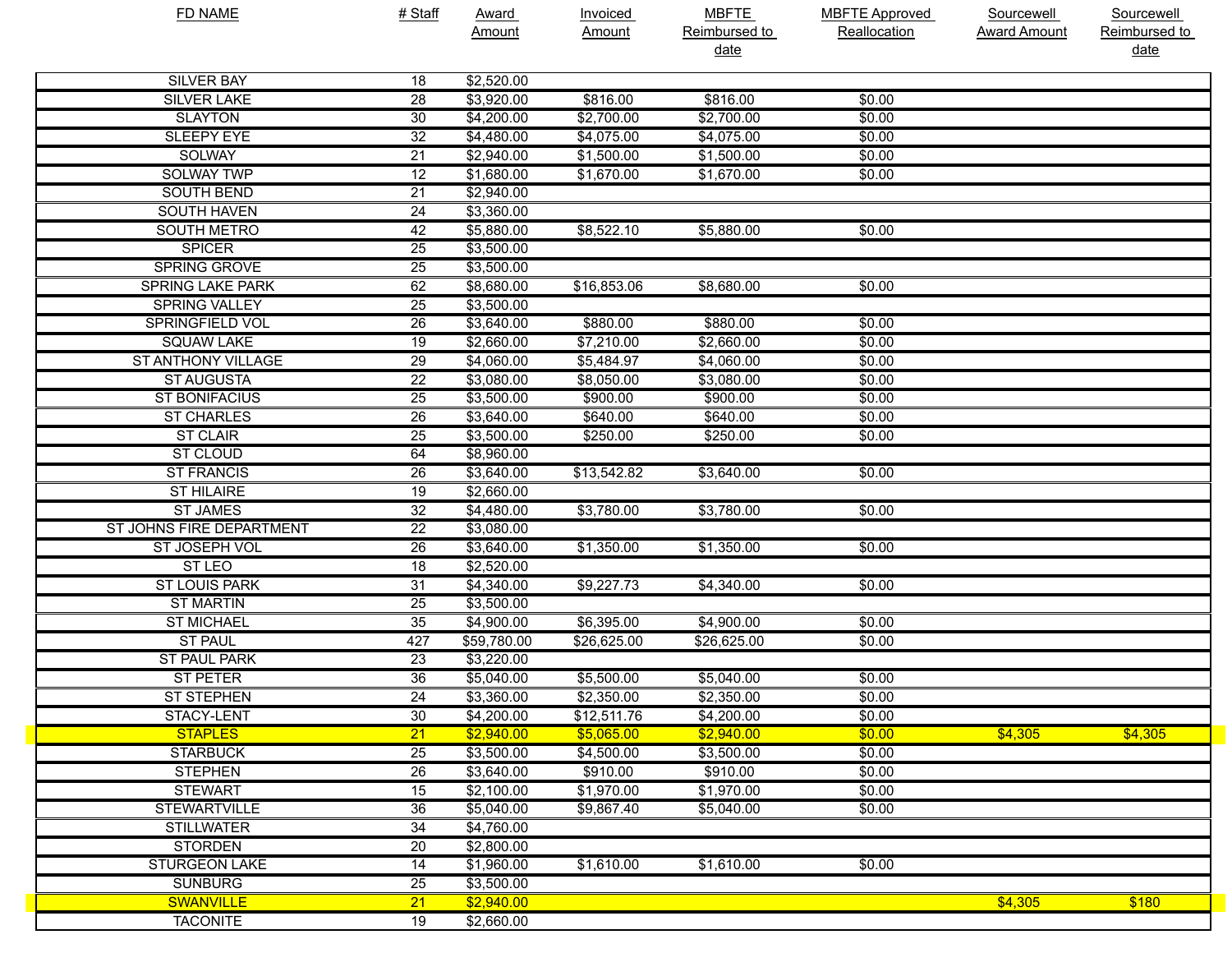| <b>FD NAME</b>            | # Staff         | <b>Award</b>       | <b>Invoiced</b> | <b>MBFTE</b>  | <b>MBFTE Approved</b> | Sourcewell          | Sourcewell    |
|---------------------------|-----------------|--------------------|-----------------|---------------|-----------------------|---------------------|---------------|
|                           |                 | Amount             | Amount          | Reimbursed to | Reallocation          | <b>Award Amount</b> | Reimbursed to |
|                           |                 |                    |                 | date          |                       |                     | date          |
| <b>SILVER BAY</b>         | 18              | \$2,520.00         |                 |               |                       |                     |               |
| <b>SILVER LAKE</b>        | $\overline{28}$ | $\sqrt{$3,920.00}$ | \$816.00        | \$816.00      | \$0.00                |                     |               |
| <b>SLAYTON</b>            | 30              | \$4,200.00         | \$2,700.00      | \$2,700.00    | \$0.00                |                     |               |
| <b>SLEEPY EYE</b>         | 32              | \$4,480.00         | \$4,075.00      | \$4,075.00    | \$0.00                |                     |               |
| <b>SOLWAY</b>             | $\overline{21}$ | \$2,940.00         | \$1,500.00      | \$1,500.00    | \$0.00                |                     |               |
| <b>SOLWAY TWP</b>         | $\overline{12}$ | \$1,680.00         | \$1,670.00      | \$1,670.00    | \$0.00                |                     |               |
| <b>SOUTH BEND</b>         | $\overline{21}$ | \$2,940.00         |                 |               |                       |                     |               |
| <b>SOUTH HAVEN</b>        | 24              | \$3,360.00         |                 |               |                       |                     |               |
| <b>SOUTH METRO</b>        | 42              | \$5,880.00         | \$8,522.10      | \$5,880.00    | \$0.00                |                     |               |
| <b>SPICER</b>             | $\overline{25}$ | \$3,500.00         |                 |               |                       |                     |               |
| <b>SPRING GROVE</b>       | $\overline{25}$ | \$3,500.00         |                 |               |                       |                     |               |
| <b>SPRING LAKE PARK</b>   | 62              | \$8,680.00         | \$16,853.06     | \$8,680.00    | \$0.00                |                     |               |
| <b>SPRING VALLEY</b>      | $\overline{25}$ | \$3,500.00         |                 |               |                       |                     |               |
| <b>SPRINGFIELD VOL</b>    | $\overline{26}$ | \$3,640.00         | \$880.00        | \$880.00      | \$0.00                |                     |               |
| <b>SQUAW LAKE</b>         | 19              | \$2,660.00         | \$7,210.00      | \$2,660.00    | \$0.00                |                     |               |
| <b>ST ANTHONY VILLAGE</b> | $\overline{29}$ | \$4,060.00         | \$5,484.97      | \$4,060.00    | \$0.00                |                     |               |
| <b>ST AUGUSTA</b>         | $\overline{22}$ | \$3,080.00         | \$8,050.00      | \$3,080.00    | \$0.00                |                     |               |
| <b>ST BONIFACIUS</b>      | $\overline{25}$ | \$3,500.00         | \$900.00        | \$900.00      | \$0.00                |                     |               |
| <b>ST CHARLES</b>         | $\overline{26}$ | \$3,640.00         | \$640.00        | \$640.00      | \$0.00                |                     |               |
| <b>ST CLAIR</b>           | $\overline{25}$ | \$3,500.00         | \$250.00        | \$250.00      | \$0.00                |                     |               |
| <b>ST CLOUD</b>           | 64              | \$8,960.00         |                 |               |                       |                     |               |
| <b>ST FRANCIS</b>         | $\overline{26}$ | \$3,640.00         | \$13,542.82     | \$3,640.00    | \$0.00                |                     |               |
| <b>ST HILAIRE</b>         | 19              | \$2,660.00         |                 |               |                       |                     |               |
| <b>ST JAMES</b>           | 32              | \$4,480.00         | \$3,780.00      | \$3,780.00    | \$0.00                |                     |               |
| ST JOHNS FIRE DEPARTMENT  | $\overline{22}$ | \$3,080.00         |                 |               |                       |                     |               |
| ST JOSEPH VOL             | $\overline{26}$ | \$3,640.00         | \$1,350.00      | \$1,350.00    | \$0.00                |                     |               |
| ST LEO                    | 18              | \$2,520.00         |                 |               |                       |                     |               |
| <b>ST LOUIS PARK</b>      | $\overline{31}$ | \$4,340.00         | \$9,227.73      | \$4,340.00    | \$0.00                |                     |               |
| <b>ST MARTIN</b>          | $\overline{25}$ | \$3,500.00         |                 |               |                       |                     |               |
| <b>ST MICHAEL</b>         | 35              | \$4,900.00         | \$6,395.00      | \$4,900.00    | \$0.00                |                     |               |
| <b>ST PAUL</b>            | 427             | \$59,780.00        | \$26,625.00     | \$26,625.00   | \$0.00                |                     |               |
| <b>ST PAUL PARK</b>       | 23              | \$3,220.00         |                 |               |                       |                     |               |
| <b>ST PETER</b>           | 36              | \$5,040.00         | \$5,500.00      | \$5,040.00    | \$0.00                |                     |               |
| <b>ST STEPHEN</b>         | $\overline{24}$ | \$3,360.00         | \$2,350.00      | \$2,350.00    | \$0.00                |                     |               |
| STACY-LENT                | 30              | \$4,200.00         | \$12,511.76     | \$4,200.00    | \$0.00                |                     |               |
| <b>STAPLES</b>            | $\overline{21}$ | \$2,940.00         | \$5,065.00      | \$2,940.00    | \$0.00                | \$4,305             | \$4,305       |
| <b>STARBUCK</b>           | $\overline{25}$ | \$3,500.00         | \$4,500.00      | \$3,500.00    | \$0.00                |                     |               |
| <b>STEPHEN</b>            | $\overline{26}$ | \$3,640.00         | \$910.00        | \$910.00      | \$0.00                |                     |               |
| <b>STEWART</b>            | 15              | \$2,100.00         | \$1,970.00      | \$1,970.00    | \$0.00                |                     |               |
| <b>STEWARTVILLE</b>       | 36              | \$5,040.00         | \$9,867.40      | \$5,040.00    | \$0.00                |                     |               |
| <b>STILLWATER</b>         | $\overline{34}$ | \$4,760.00         |                 |               |                       |                     |               |
| <b>STORDEN</b>            | 20              | \$2,800.00         |                 |               |                       |                     |               |
| <b>STURGEON LAKE</b>      | 14              | \$1,960.00         | \$1,610.00      | \$1,610.00    | \$0.00                |                     |               |
| <b>SUNBURG</b>            | $\overline{25}$ | \$3,500.00         |                 |               |                       |                     |               |
| <b>SWANVILLE</b>          | $\overline{21}$ | \$2,940.00         |                 |               |                       | \$4,305             | \$180         |
| <b>TACONITE</b>           | 19              | \$2,660.00         |                 |               |                       |                     |               |
|                           |                 |                    |                 |               |                       |                     |               |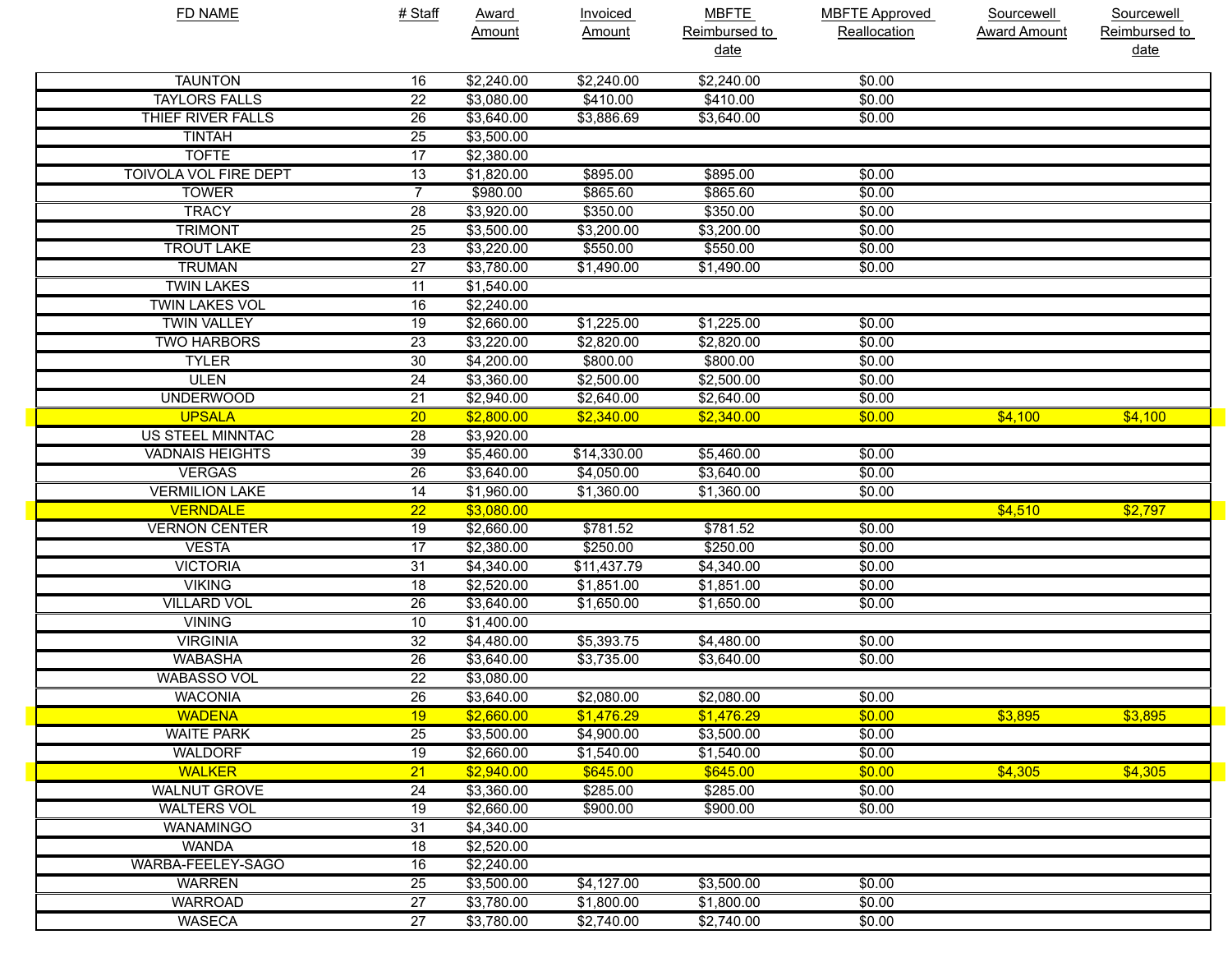| <b>FD NAME</b>               | # Staff         | <b>Award</b>       | Invoiced      | <b>MBFTE</b>  | <b>MBFTE Approved</b> | <b>Sourcewell</b>   | Sourcewell    |
|------------------------------|-----------------|--------------------|---------------|---------------|-----------------------|---------------------|---------------|
|                              |                 | Amount             | <b>Amount</b> | Reimbursed to | Reallocation          | <b>Award Amount</b> | Reimbursed to |
|                              |                 |                    |               | date          |                       |                     | <u>date</u>   |
| <b>TAUNTON</b>               | 16              | \$2,240.00         | \$2,240.00    | \$2,240.00    | \$0.00                |                     |               |
| <b>TAYLORS FALLS</b>         | $\overline{22}$ | \$3,080.00         | \$410.00      | \$410.00      | \$0.00                |                     |               |
| THIEF RIVER FALLS            | $\overline{26}$ | \$3,640.00         | \$3,886.69    | \$3,640.00    | \$0.00                |                     |               |
| <b>TINTAH</b>                | $\overline{25}$ | \$3,500.00         |               |               |                       |                     |               |
| <b>TOFTE</b>                 | $\overline{17}$ | \$2,380.00         |               |               |                       |                     |               |
| <b>TOIVOLA VOL FIRE DEPT</b> | $\overline{13}$ | \$1,820.00         | \$895.00      | \$895.00      | \$0.00                |                     |               |
| <b>TOWER</b>                 | $\overline{7}$  | \$980.00           | \$865.60      | \$865.60      | \$0.00                |                     |               |
| <b>TRACY</b>                 | 28              | \$3,920.00         | \$350.00      | \$350.00      | \$0.00                |                     |               |
| <b>TRIMONT</b>               | $\overline{25}$ | \$3,500.00         | \$3,200.00    | \$3,200.00    | \$0.00                |                     |               |
| <b>TROUT LAKE</b>            | 23              | \$3,220.00         | \$550.00      | \$550.00      | \$0.00                |                     |               |
| <b>TRUMAN</b>                | $\overline{27}$ | \$3,780.00         | \$1,490.00    | \$1,490.00    | \$0.00                |                     |               |
| <b>TWIN LAKES</b>            | $\overline{11}$ | \$1,540.00         |               |               |                       |                     |               |
| <b>TWIN LAKES VOL</b>        | 16              | \$2,240.00         |               |               |                       |                     |               |
| <b>TWIN VALLEY</b>           | $\overline{19}$ | $\sqrt{$2,660.00}$ | \$1,225.00    | \$1,225.00    | \$0.00                |                     |               |
| <b>TWO HARBORS</b>           | 23              | \$3,220.00         | \$2,820.00    | \$2,820.00    | \$0.00                |                     |               |
| <b>TYLER</b>                 | 30              | \$4,200.00         | \$800.00      | \$800.00      | \$0.00                |                     |               |
| <b>ULEN</b>                  | 24              | \$3,360.00         | \$2,500.00    | \$2,500.00    | \$0.00                |                     |               |
| <b>UNDERWOOD</b>             | $\overline{21}$ | \$2,940.00         | \$2,640.00    | \$2,640.00    | \$0.00                |                     |               |
| <b>UPSALA</b>                | $\overline{20}$ | \$2,800.00         | \$2,340.00    | \$2,340.00    | \$0.00                | \$4.100             | \$4,100       |
| <b>US STEEL MINNTAC</b>      | 28              | \$3,920.00         |               |               |                       |                     |               |
| <b>VADNAIS HEIGHTS</b>       | 39              | \$5,460.00         | \$14,330.00   | \$5,460.00    | \$0.00                |                     |               |
| <b>VERGAS</b>                | 26              | \$3,640.00         | \$4,050.00    | \$3,640.00    | \$0.00                |                     |               |
| <b>VERMILION LAKE</b>        | 14              | \$1,960.00         | \$1,360.00    | \$1,360.00    | \$0.00                |                     |               |
| <b>VERNDALE</b>              | $\overline{22}$ | \$3,080.00         |               |               |                       | \$4,510             | \$2,797       |
| <b>VERNON CENTER</b>         | $\overline{19}$ | \$2,660.00         | \$781.52      | \$781.52      | \$0.00                |                     |               |
| <b>VESTA</b>                 | 17              | \$2,380.00         | \$250.00      | \$250.00      | \$0.00                |                     |               |
| <b>VICTORIA</b>              | 31              | \$4,340.00         | \$11,437.79   | \$4,340.00    | \$0.00                |                     |               |
| <b>VIKING</b>                | $\overline{18}$ | \$2,520.00         | \$1,851.00    | \$1,851.00    | \$0.00                |                     |               |
| <b>VILLARD VOL</b>           | 26              | \$3,640.00         | \$1,650.00    | \$1,650.00    | \$0.00                |                     |               |
| <b>VINING</b>                | 10              | \$1,400.00         |               |               |                       |                     |               |
| <b>VIRGINIA</b>              | 32              | \$4,480.00         | \$5,393.75    | \$4,480.00    | \$0.00                |                     |               |
| <b>WABASHA</b>               | 26              | \$3,640.00         | \$3,735.00    | \$3,640.00    | \$0.00                |                     |               |
| <b>WABASSO VOL</b>           | $\overline{22}$ | \$3,080.00         |               |               |                       |                     |               |
| <b>WACONIA</b>               | $\overline{26}$ | \$3,640.00         | \$2,080.00    | \$2,080.00    | \$0.00                |                     |               |
| <b>WADENA</b>                | 19              | \$2,660.00         | \$1,476.29    | \$1,476.29    | \$0.00                | \$3,895             | \$3,895       |
| <b>WAITE PARK</b>            | 25              | \$3,500.00         | \$4,900.00    | \$3,500.00    | \$0.00                |                     |               |
| <b>WALDORF</b>               | $\overline{19}$ | \$2,660.00         | \$1,540.00    | \$1,540.00    | \$0.00                |                     |               |
| <b>WALKER</b>                | $\overline{21}$ | \$2,940.00         | \$645.00      | \$645.00      | \$0.00                | \$4,305             | \$4,305       |
| <b>WALNUT GROVE</b>          | 24              | \$3,360.00         | \$285.00      | \$285.00      | \$0.00                |                     |               |
| <b>WALTERS VOL</b>           | 19              | \$2,660.00         | \$900.00      | \$900.00      | \$0.00                |                     |               |
| WANAMINGO                    | 31              | \$4,340.00         |               |               |                       |                     |               |
| <b>WANDA</b>                 | 18              | \$2,520.00         |               |               |                       |                     |               |
| WARBA-FEELEY-SAGO            | 16              | \$2,240.00         |               |               |                       |                     |               |
| <b>WARREN</b>                | 25              | \$3,500.00         | \$4,127.00    | \$3,500.00    | \$0.00                |                     |               |
| <b>WARROAD</b>               | $\overline{27}$ | \$3,780.00         | \$1,800.00    | \$1,800.00    | \$0.00                |                     |               |
| <b>WASECA</b>                | $\overline{27}$ | \$3,780.00         | \$2,740.00    | \$2,740.00    | \$0.00                |                     |               |